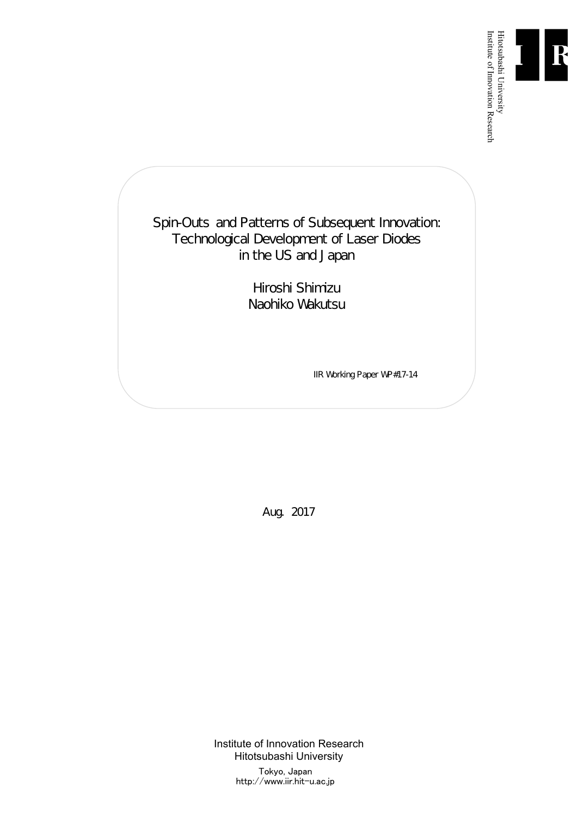

Institute of Innovation Research

Spin-Outs and Patterns of Subsequent Innovation: Technological Development of Laser Diodes in the US and Japan

> Hiroshi Shimizu Naohiko Wakutsu

> > IIR Working Paper WP#17-14

Aug. 2017

Institute of Innovation Research Hitotsubashi University Tokyo, Japan http://www.iir.hit-u.ac.jp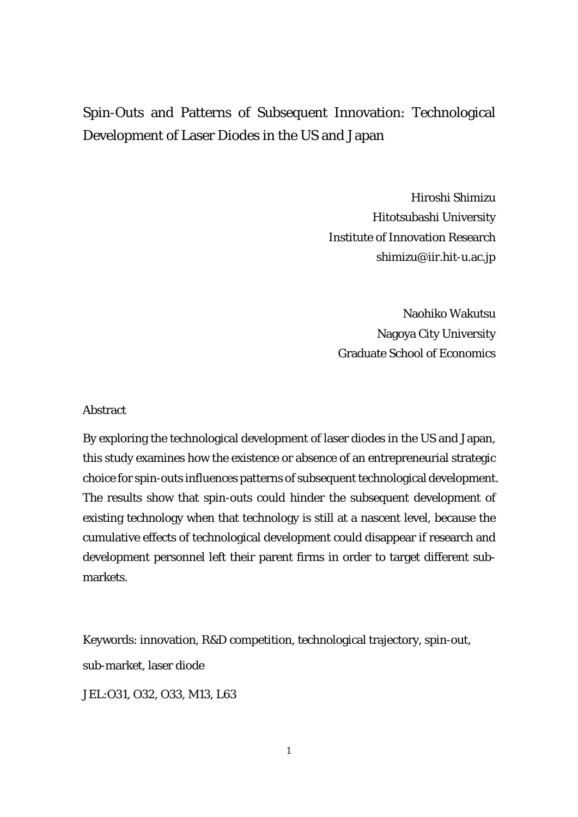# Spin-Outs and Patterns of Subsequent Innovation: Technological Development of Laser Diodes in the US and Japan

Hiroshi Shimizu Hitotsubashi University Institute of Innovation Research shimizu@iir.hit-u.ac.jp

Naohiko Wakutsu Nagoya City University Graduate School of Economics

#### Abstract

By exploring the technological development of laser diodes in the US and Japan, this study examines how the existence or absence of an entrepreneurial strategic choice for spin-outs influences patterns of subsequent technological development. The results show that spin-outs could hinder the subsequent development of existing technology when that technology is still at a nascent level, because the cumulative effects of technological development could disappear if research and development personnel left their parent firms in order to target different submarkets.

Keywords: innovation, R&D competition, technological trajectory, spin-out, sub-market, laser diode

JEL:O31, O32, O33, M13, L63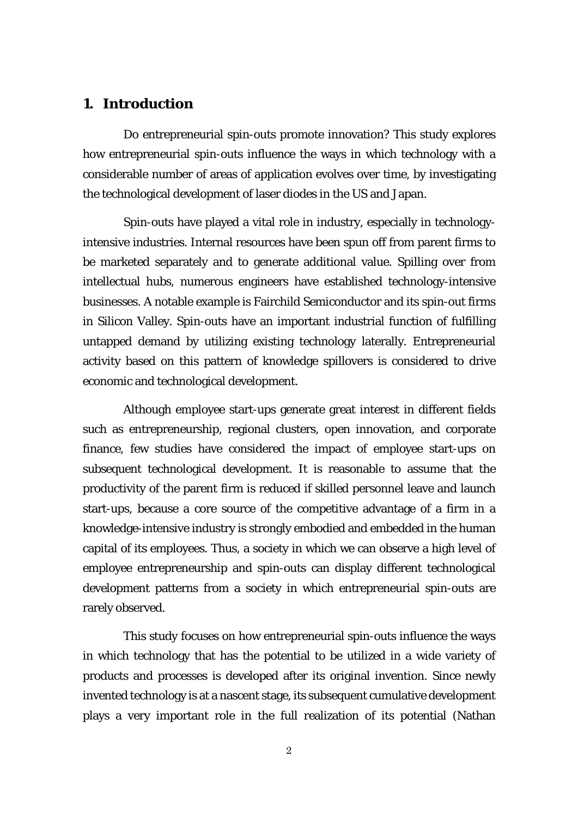### **1. Introduction**

Do entrepreneurial spin-outs promote innovation? This study explores how entrepreneurial spin-outs influence the ways in which technology with a considerable number of areas of application evolves over time, by investigating the technological development of laser diodes in the US and Japan.

Spin-outs have played a vital role in industry, especially in technologyintensive industries. Internal resources have been spun off from parent firms to be marketed separately and to generate additional value. Spilling over from intellectual hubs, numerous engineers have established technology-intensive businesses. A notable example is Fairchild Semiconductor and its spin-out firms in Silicon Valley. Spin-outs have an important industrial function of fulfilling untapped demand by utilizing existing technology laterally. Entrepreneurial activity based on this pattern of knowledge spillovers is considered to drive economic and technological development.

Although employee start-ups generate great interest in different fields such as entrepreneurship, regional clusters, open innovation, and corporate finance, few studies have considered the impact of employee start-ups on subsequent technological development. It is reasonable to assume that the productivity of the parent firm is reduced if skilled personnel leave and launch start-ups, because a core source of the competitive advantage of a firm in a knowledge-intensive industry is strongly embodied and embedded in the human capital of its employees. Thus, a society in which we can observe a high level of employee entrepreneurship and spin-outs can display different technological development patterns from a society in which entrepreneurial spin-outs are rarely observed.

This study focuses on how entrepreneurial spin-outs influence the ways in which technology that has the potential to be utilized in a wide variety of products and processes is developed after its original invention. Since newly invented technology is at a nascent stage, its subsequent cumulative development plays a very important role in the full realization of its potential (Nathan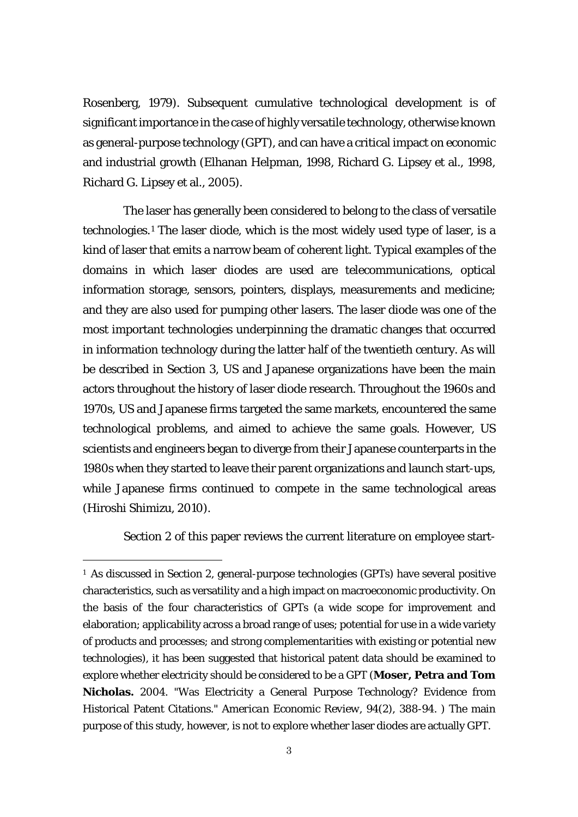Rosenberg, 1979). Subsequent cumulative technological development is of significant importance in the case of highly versatile technology, otherwise known as general-purpose technology (GPT), and can have a critical impact on economic and industrial growth (Elhanan Helpman, 1998, Richard G. Lipsey et al., 1998, Richard G. Lipsey et al., 2005).

The laser has generally been considered to belong to the class of versatile technologies.[1](#page-4-0) The laser diode, which is the most widely used type of laser, is a kind of laser that emits a narrow beam of coherent light. Typical examples of the domains in which laser diodes are used are telecommunications, optical information storage, sensors, pointers, displays, measurements and medicine; and they are also used for pumping other lasers. The laser diode was one of the most important technologies underpinning the dramatic changes that occurred in information technology during the latter half of the twentieth century. As will be described in Section 3, US and Japanese organizations have been the main actors throughout the history of laser diode research. Throughout the 1960s and 1970s, US and Japanese firms targeted the same markets, encountered the same technological problems, and aimed to achieve the same goals. However, US scientists and engineers began to diverge from their Japanese counterparts in the 1980s when they started to leave their parent organizations and launch start-ups, while Japanese firms continued to compete in the same technological areas (Hiroshi Shimizu, 2010).

Section 2 of this paper reviews the current literature on employee start-

<span id="page-4-0"></span><sup>&</sup>lt;sup>1</sup> As discussed in Section 2, general-purpose technologies (GPTs) have several positive characteristics, such as versatility and a high impact on macroeconomic productivity. On the basis of the four characteristics of GPTs (a wide scope for improvement and elaboration; applicability across a broad range of uses; potential for use in a wide variety of products and processes; and strong complementarities with existing or potential new technologies), it has been suggested that historical patent data should be examined to explore whether electricity should be considered to be a GPT (**Moser, Petra and Tom Nicholas.** 2004. "Was Electricity a General Purpose Technology? Evidence from Historical Patent Citations." *American Economic Review*, 94(2), 388-94. ) The main purpose of this study, however, is not to explore whether laser diodes are actually GPT.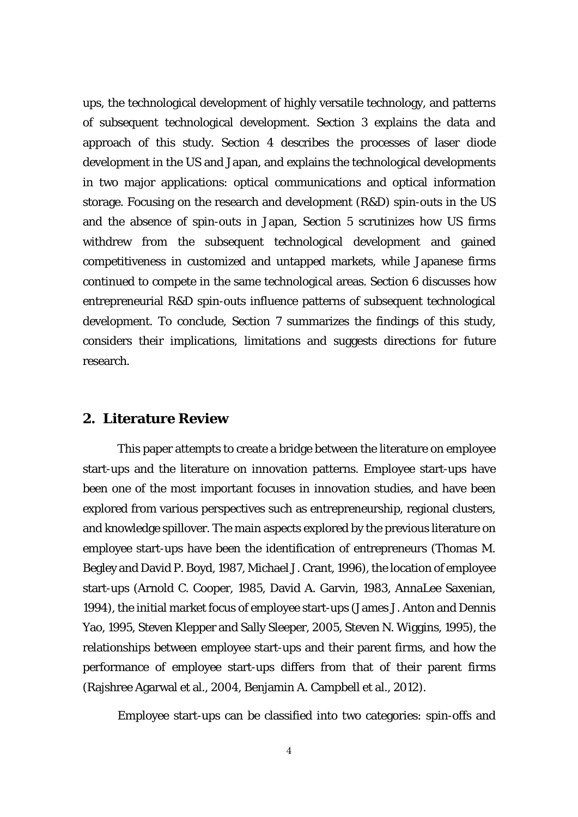ups, the technological development of highly versatile technology, and patterns of subsequent technological development. Section 3 explains the data and approach of this study. Section 4 describes the processes of laser diode development in the US and Japan, and explains the technological developments in two major applications: optical communications and optical information storage. Focusing on the research and development (R&D) spin-outs in the US and the absence of spin-outs in Japan, Section 5 scrutinizes how US firms withdrew from the subsequent technological development and gained competitiveness in customized and untapped markets, while Japanese firms continued to compete in the same technological areas. Section 6 discusses how entrepreneurial R&D spin-outs influence patterns of subsequent technological development. To conclude, Section 7 summarizes the findings of this study, considers their implications, limitations and suggests directions for future research.

#### **2. Literature Review**

This paper attempts to create a bridge between the literature on employee start-ups and the literature on innovation patterns. Employee start-ups have been one of the most important focuses in innovation studies, and have been explored from various perspectives such as entrepreneurship, regional clusters, and knowledge spillover. The main aspects explored by the previous literature on employee start-ups have been the identification of entrepreneurs (Thomas M. Begley and David P. Boyd, 1987, Michael J. Crant, 1996), the location of employee start-ups (Arnold C. Cooper, 1985, David A. Garvin, 1983, AnnaLee Saxenian, 1994), the initial market focus of employee start-ups (James J. Anton and Dennis Yao, 1995, Steven Klepper and Sally Sleeper, 2005, Steven N. Wiggins, 1995), the relationships between employee start-ups and their parent firms, and how the performance of employee start-ups differs from that of their parent firms (Rajshree Agarwal et al., 2004, Benjamin A. Campbell et al., 2012).

Employee start-ups can be classified into two categories: spin-offs and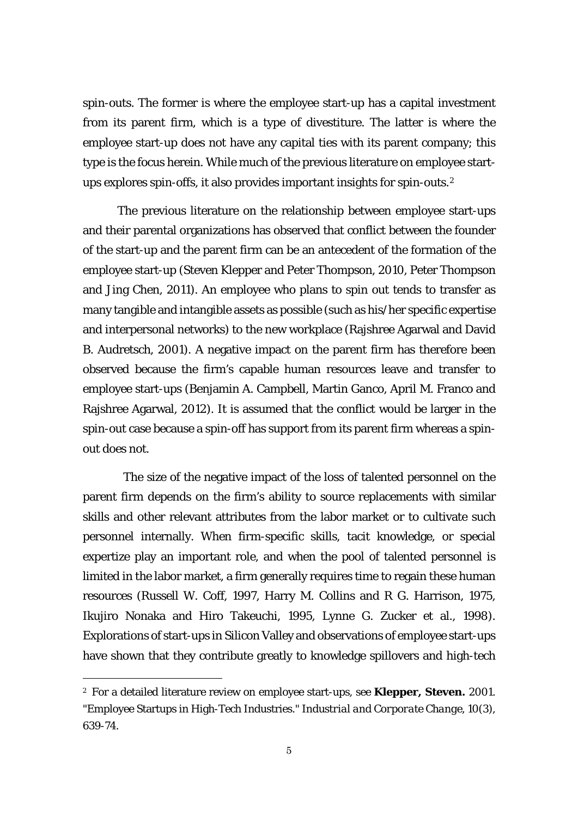spin-outs. The former is where the employee start-up has a capital investment from its parent firm, which is a type of divestiture. The latter is where the employee start-up does not have any capital ties with its parent company; this type is the focus herein. While much of the previous literature on employee startups explores spin-offs, it also provides important insights for spin-outs.[2](#page-6-0)

The previous literature on the relationship between employee start-ups and their parental organizations has observed that conflict between the founder of the start-up and the parent firm can be an antecedent of the formation of the employee start-up (Steven Klepper and Peter Thompson, 2010, Peter Thompson and Jing Chen, 2011). An employee who plans to spin out tends to transfer as many tangible and intangible assets as possible (such as his/her specific expertise and interpersonal networks) to the new workplace (Rajshree Agarwal and David B. Audretsch, 2001). A negative impact on the parent firm has therefore been observed because the firm's capable human resources leave and transfer to employee start-ups (Benjamin A. Campbell, Martin Ganco, April M. Franco and Rajshree Agarwal, 2012). It is assumed that the conflict would be larger in the spin-out case because a spin-off has support from its parent firm whereas a spinout does not.

The size of the negative impact of the loss of talented personnel on the parent firm depends on the firm's ability to source replacements with similar skills and other relevant attributes from the labor market or to cultivate such personnel internally. When firm-specific skills, tacit knowledge, or special expertize play an important role, and when the pool of talented personnel is limited in the labor market, a firm generally requires time to regain these human resources (Russell W. Coff, 1997, Harry M. Collins and R G. Harrison, 1975, Ikujiro Nonaka and Hiro Takeuchi, 1995, Lynne G. Zucker et al., 1998). Explorations of start-ups in Silicon Valley and observations of employee start-ups have shown that they contribute greatly to knowledge spillovers and high-tech

<span id="page-6-0"></span><sup>2</sup> For a detailed literature review on employee start-ups, see **Klepper, Steven.** 2001. "Employee Startups in High-Tech Industries." *Industrial and Corporate Change*, 10(3), 639-74.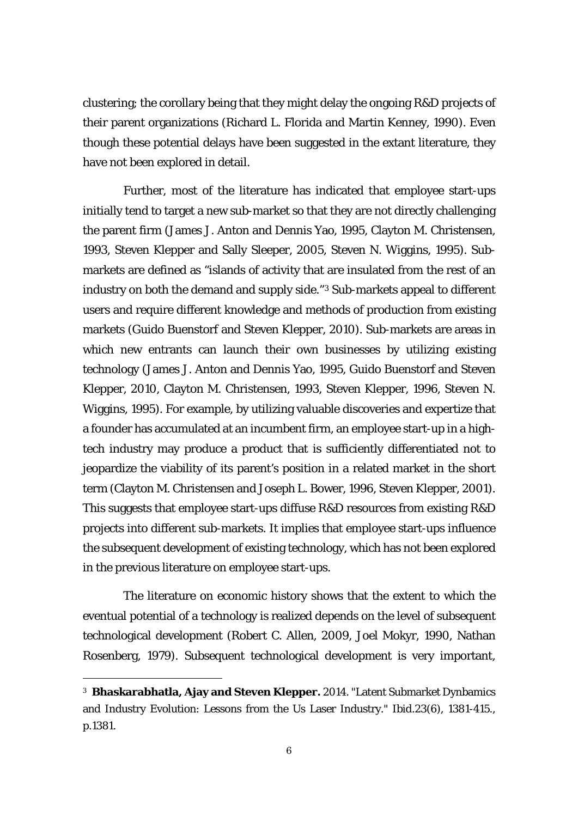clustering; the corollary being that they might delay the ongoing R&D projects of their parent organizations (Richard L. Florida and Martin Kenney, 1990). Even though these potential delays have been suggested in the extant literature, they have not been explored in detail.

Further, most of the literature has indicated that employee start-ups initially tend to target a new sub-market so that they are not directly challenging the parent firm (James J. Anton and Dennis Yao, 1995, Clayton M. Christensen, 1993, Steven Klepper and Sally Sleeper, 2005, Steven N. Wiggins, 1995). Submarkets are defined as "islands of activity that are insulated from the rest of an industry on both the demand and supply side."[3](#page-7-0) Sub-markets appeal to different users and require different knowledge and methods of production from existing markets (Guido Buenstorf and Steven Klepper, 2010). Sub-markets are areas in which new entrants can launch their own businesses by utilizing existing technology (James J. Anton and Dennis Yao, 1995, Guido Buenstorf and Steven Klepper, 2010, Clayton M. Christensen, 1993, Steven Klepper, 1996, Steven N. Wiggins, 1995). For example, by utilizing valuable discoveries and expertize that a founder has accumulated at an incumbent firm, an employee start-up in a hightech industry may produce a product that is sufficiently differentiated not to jeopardize the viability of its parent's position in a related market in the short term (Clayton M. Christensen and Joseph L. Bower, 1996, Steven Klepper, 2001). This suggests that employee start-ups diffuse R&D resources from existing R&D projects into different sub-markets. It implies that employee start-ups influence the subsequent development of existing technology, which has not been explored in the previous literature on employee start-ups.

The literature on economic history shows that the extent to which the eventual potential of a technology is realized depends on the level of subsequent technological development (Robert C. Allen, 2009, Joel Mokyr, 1990, Nathan Rosenberg, 1979). Subsequent technological development is very important,

<span id="page-7-0"></span><sup>3</sup> **Bhaskarabhatla, Ajay and Steven Klepper.** 2014. "Latent Submarket Dynbamics and Industry Evolution: Lessons from the Us Laser Industry." Ibid.23(6), 1381-415., p.1381.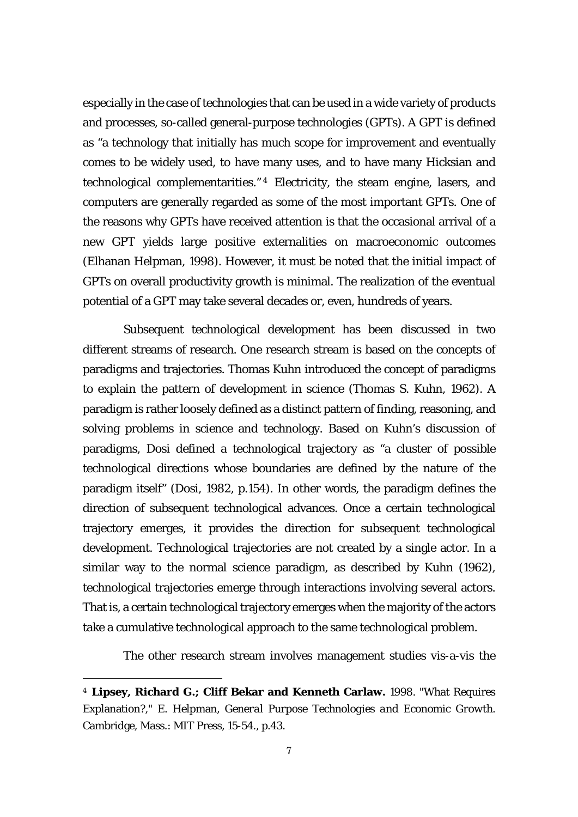especially in the case of technologies that can be used in a wide variety of products and processes, so-called general-purpose technologies (GPTs). A GPT is defined as "a technology that initially has much scope for improvement and eventually comes to be widely used, to have many uses, and to have many Hicksian and technological complementarities." [4](#page-8-0) Electricity, the steam engine, lasers, and computers are generally regarded as some of the most important GPTs. One of the reasons why GPTs have received attention is that the occasional arrival of a new GPT yields large positive externalities on macroeconomic outcomes (Elhanan Helpman, 1998). However, it must be noted that the initial impact of GPTs on overall productivity growth is minimal. The realization of the eventual potential of a GPT may take several decades or, even, hundreds of years.

Subsequent technological development has been discussed in two different streams of research. One research stream is based on the concepts of paradigms and trajectories. Thomas Kuhn introduced the concept of paradigms to explain the pattern of development in science (Thomas S. Kuhn, 1962). A paradigm is rather loosely defined as a distinct pattern of finding, reasoning, and solving problems in science and technology. Based on Kuhn's discussion of paradigms, Dosi defined a technological trajectory as "a cluster of possible technological directions whose boundaries are defined by the nature of the paradigm itself" (Dosi, 1982, p.154). In other words, the paradigm defines the direction of subsequent technological advances. Once a certain technological trajectory emerges, it provides the direction for subsequent technological development. Technological trajectories are not created by a single actor. In a similar way to the normal science paradigm, as described by Kuhn (1962), technological trajectories emerge through interactions involving several actors. That is, a certain technological trajectory emerges when the majority of the actors take a cumulative technological approach to the same technological problem.

The other research stream involves management studies vis-a-vis the

<span id="page-8-0"></span><sup>4</sup> **Lipsey, Richard G.; Cliff Bekar and Kenneth Carlaw.** 1998. "What Requires Explanation?," E. Helpman, *General Purpose Technologies and Economic Growth.*  Cambridge, Mass.: MIT Press, 15-54., p.43.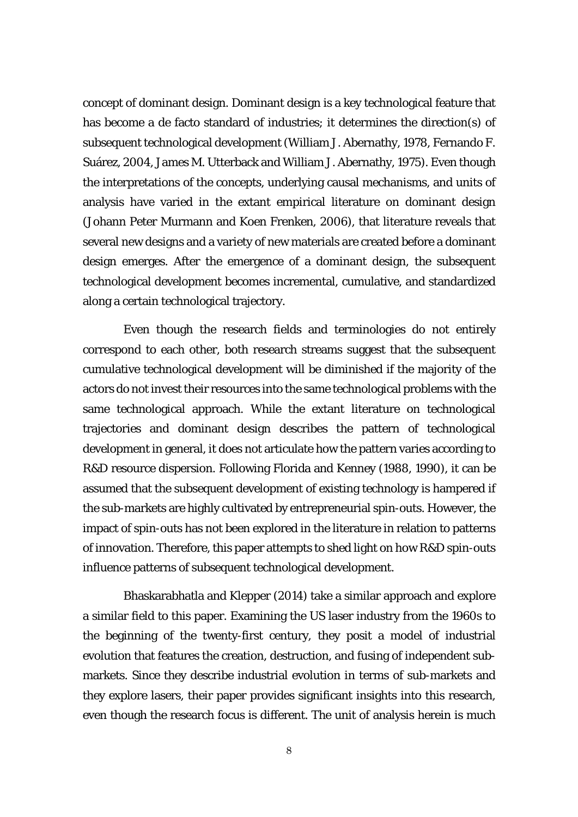concept of dominant design. Dominant design is a key technological feature that has become a de facto standard of industries; it determines the direction(s) of subsequent technological development (William J. Abernathy, 1978, Fernando F. Suárez, 2004, James M. Utterback and William J. Abernathy, 1975). Even though the interpretations of the concepts, underlying causal mechanisms, and units of analysis have varied in the extant empirical literature on dominant design (Johann Peter Murmann and Koen Frenken, 2006), that literature reveals that several new designs and a variety of new materials are created before a dominant design emerges. After the emergence of a dominant design, the subsequent technological development becomes incremental, cumulative, and standardized along a certain technological trajectory.

Even though the research fields and terminologies do not entirely correspond to each other, both research streams suggest that the subsequent cumulative technological development will be diminished if the majority of the actors do not invest their resources into the same technological problems with the same technological approach. While the extant literature on technological trajectories and dominant design describes the pattern of technological development in general, it does not articulate how the pattern varies according to R&D resource dispersion. Following Florida and Kenney (1988, 1990), it can be assumed that the subsequent development of existing technology is hampered if the sub-markets are highly cultivated by entrepreneurial spin-outs. However, the impact of spin-outs has not been explored in the literature in relation to patterns of innovation. Therefore, this paper attempts to shed light on how R&D spin-outs influence patterns of subsequent technological development.

Bhaskarabhatla and Klepper (2014) take a similar approach and explore a similar field to this paper. Examining the US laser industry from the 1960s to the beginning of the twenty-first century, they posit a model of industrial evolution that features the creation, destruction, and fusing of independent submarkets. Since they describe industrial evolution in terms of sub-markets and they explore lasers, their paper provides significant insights into this research, even though the research focus is different. The unit of analysis herein is much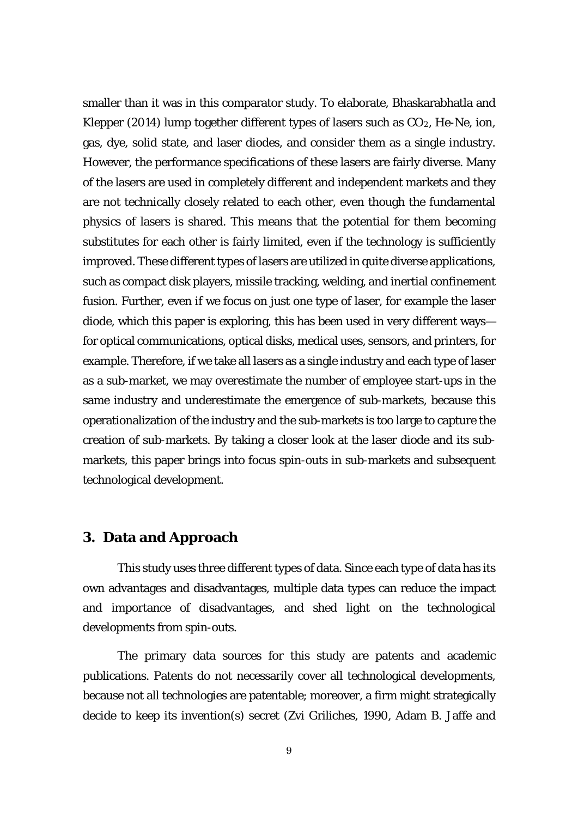smaller than it was in this comparator study. To elaborate, Bhaskarabhatla and Klepper (2014) lump together different types of lasers such as  $CO<sub>2</sub>$ , He-Ne, ion, gas, dye, solid state, and laser diodes, and consider them as a single industry. However, the performance specifications of these lasers are fairly diverse. Many of the lasers are used in completely different and independent markets and they are not technically closely related to each other, even though the fundamental physics of lasers is shared. This means that the potential for them becoming substitutes for each other is fairly limited, even if the technology is sufficiently improved. These different types of lasers are utilized in quite diverse applications, such as compact disk players, missile tracking, welding, and inertial confinement fusion. Further, even if we focus on just one type of laser, for example the laser diode, which this paper is exploring, this has been used in very different ways for optical communications, optical disks, medical uses, sensors, and printers, for example. Therefore, if we take all lasers as a single industry and each type of laser as a sub-market, we may overestimate the number of employee start-ups in the same industry and underestimate the emergence of sub-markets, because this operationalization of the industry and the sub-markets is too large to capture the creation of sub-markets. By taking a closer look at the laser diode and its submarkets, this paper brings into focus spin-outs in sub-markets and subsequent technological development.

### **3. Data and Approach**

This study uses three different types of data. Since each type of data has its own advantages and disadvantages, multiple data types can reduce the impact and importance of disadvantages, and shed light on the technological developments from spin-outs.

The primary data sources for this study are patents and academic publications. Patents do not necessarily cover all technological developments, because not all technologies are patentable; moreover, a firm might strategically decide to keep its invention(s) secret (Zvi Griliches, 1990, Adam B. Jaffe and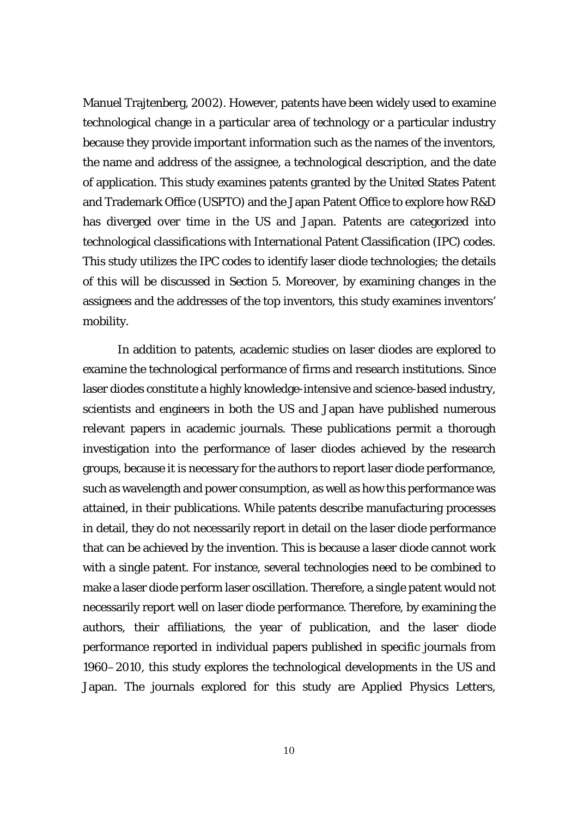Manuel Trajtenberg, 2002). However, patents have been widely used to examine technological change in a particular area of technology or a particular industry because they provide important information such as the names of the inventors, the name and address of the assignee, a technological description, and the date of application. This study examines patents granted by the United States Patent and Trademark Office (USPTO) and the Japan Patent Office to explore how R&D has diverged over time in the US and Japan. Patents are categorized into technological classifications with International Patent Classification (IPC) codes. This study utilizes the IPC codes to identify laser diode technologies; the details of this will be discussed in Section 5. Moreover, by examining changes in the assignees and the addresses of the top inventors, this study examines inventors' mobility.

In addition to patents, academic studies on laser diodes are explored to examine the technological performance of firms and research institutions. Since laser diodes constitute a highly knowledge-intensive and science-based industry, scientists and engineers in both the US and Japan have published numerous relevant papers in academic journals. These publications permit a thorough investigation into the performance of laser diodes achieved by the research groups, because it is necessary for the authors to report laser diode performance, such as wavelength and power consumption, as well as how this performance was attained, in their publications. While patents describe manufacturing processes in detail, they do not necessarily report in detail on the laser diode performance that can be achieved by the invention. This is because a laser diode cannot work with a single patent. For instance, several technologies need to be combined to make a laser diode perform laser oscillation. Therefore, a single patent would not necessarily report well on laser diode performance. Therefore, by examining the authors, their affiliations, the year of publication, and the laser diode performance reported in individual papers published in specific journals from 1960–2010, this study explores the technological developments in the US and Japan. The journals explored for this study are *Applied Physics Letters,*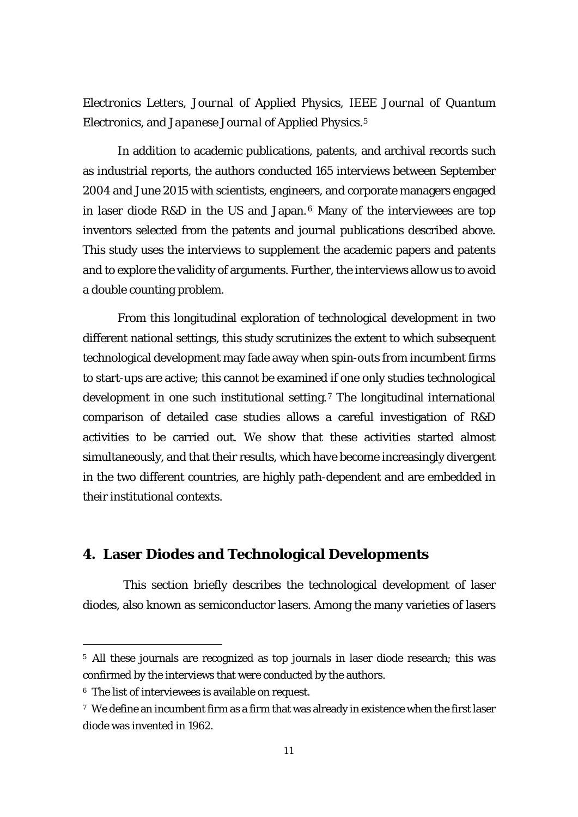*Electronics Letters, Journal of Applied Physics, IEEE Journal of Quantum Electronics*, and *Japanese Journal of Applied Physics*.[5](#page-12-0)

In addition to academic publications, patents, and archival records such as industrial reports, the authors conducted 165 interviews between September 2004 and June 2015 with scientists, engineers, and corporate managers engaged in laser diode R&D in the US and Japan. [6](#page-12-1) Many of the interviewees are top inventors selected from the patents and journal publications described above. This study uses the interviews to supplement the academic papers and patents and to explore the validity of arguments. Further, the interviews allow us to avoid a double counting problem.

From this longitudinal exploration of technological development in two different national settings, this study scrutinizes the extent to which subsequent technological development may fade away when spin-outs from incumbent firms to start-ups are active; this cannot be examined if one only studies technological development in one such institutional setting.[7](#page-12-2) The longitudinal international comparison of detailed case studies allows a careful investigation of R&D activities to be carried out. We show that these activities started almost simultaneously, and that their results, which have become increasingly divergent in the two different countries, are highly path-dependent and are embedded in their institutional contexts.

### **4. Laser Diodes and Technological Developments**

This section briefly describes the technological development of laser diodes, also known as semiconductor lasers. Among the many varieties of lasers

<span id="page-12-0"></span><sup>5</sup> All these journals are recognized as top journals in laser diode research; this was confirmed by the interviews that were conducted by the authors.

<span id="page-12-1"></span><sup>6</sup> The list of interviewees is available on request.

<span id="page-12-2"></span><sup>7</sup> We define an incumbent firm as a firm that was already in existence when the first laser diode was invented in 1962.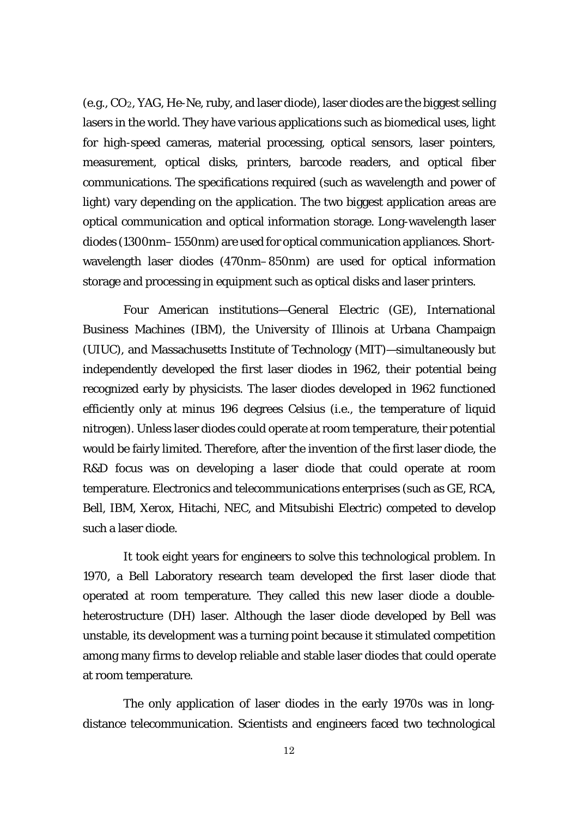(e.g., CO2, YAG, He-Ne, ruby, and laser diode), laser diodes are the biggest selling lasers in the world. They have various applications such as biomedical uses, light for high-speed cameras, material processing, optical sensors, laser pointers, measurement, optical disks, printers, barcode readers, and optical fiber communications. The specifications required (such as wavelength and power of light) vary depending on the application. The two biggest application areas are optical communication and optical information storage. Long-wavelength laser diodes (1300nm–1550nm) are used for optical communication appliances. Shortwavelength laser diodes (470nm–850nm) are used for optical information storage and processing in equipment such as optical disks and laser printers.

Four American institutions—General Electric (GE), International Business Machines (IBM), the University of Illinois at Urbana Champaign (UIUC), and Massachusetts Institute of Technology (MIT)—simultaneously but independently developed the first laser diodes in 1962, their potential being recognized early by physicists. The laser diodes developed in 1962 functioned efficiently only at minus 196 degrees Celsius (i.e., the temperature of liquid nitrogen). Unless laser diodes could operate at room temperature, their potential would be fairly limited. Therefore, after the invention of the first laser diode, the R&D focus was on developing a laser diode that could operate at room temperature. Electronics and telecommunications enterprises (such as GE, RCA, Bell, IBM, Xerox, Hitachi, NEC, and Mitsubishi Electric) competed to develop such a laser diode.

It took eight years for engineers to solve this technological problem. In 1970, a Bell Laboratory research team developed the first laser diode that operated at room temperature. They called this new laser diode a doubleheterostructure (DH) laser. Although the laser diode developed by Bell was unstable, its development was a turning point because it stimulated competition among many firms to develop reliable and stable laser diodes that could operate at room temperature.

The only application of laser diodes in the early 1970s was in longdistance telecommunication. Scientists and engineers faced two technological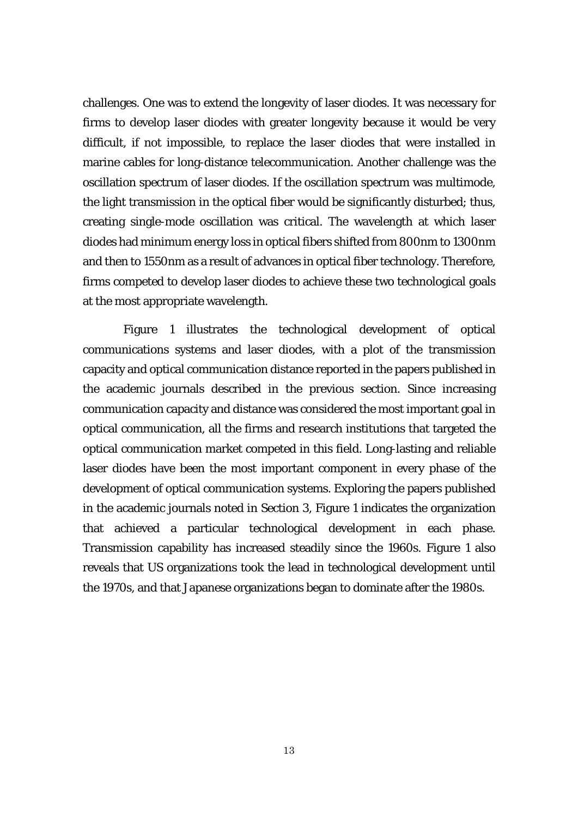challenges. One was to extend the longevity of laser diodes. It was necessary for firms to develop laser diodes with greater longevity because it would be very difficult, if not impossible, to replace the laser diodes that were installed in marine cables for long-distance telecommunication. Another challenge was the oscillation spectrum of laser diodes. If the oscillation spectrum was multimode, the light transmission in the optical fiber would be significantly disturbed; thus, creating single-mode oscillation was critical. The wavelength at which laser diodes had minimum energy loss in optical fibers shifted from 800nm to 1300nm and then to 1550nm as a result of advances in optical fiber technology. Therefore, firms competed to develop laser diodes to achieve these two technological goals at the most appropriate wavelength.

Figure 1 illustrates the technological development of optical communications systems and laser diodes, with a plot of the transmission capacity and optical communication distance reported in the papers published in the academic journals described in the previous section. Since increasing communication capacity and distance was considered the most important goal in optical communication, all the firms and research institutions that targeted the optical communication market competed in this field. Long-lasting and reliable laser diodes have been the most important component in every phase of the development of optical communication systems. Exploring the papers published in the academic journals noted in Section 3, Figure 1 indicates the organization that achieved a particular technological development in each phase. Transmission capability has increased steadily since the 1960s. Figure 1 also reveals that US organizations took the lead in technological development until the 1970s, and that Japanese organizations began to dominate after the 1980s.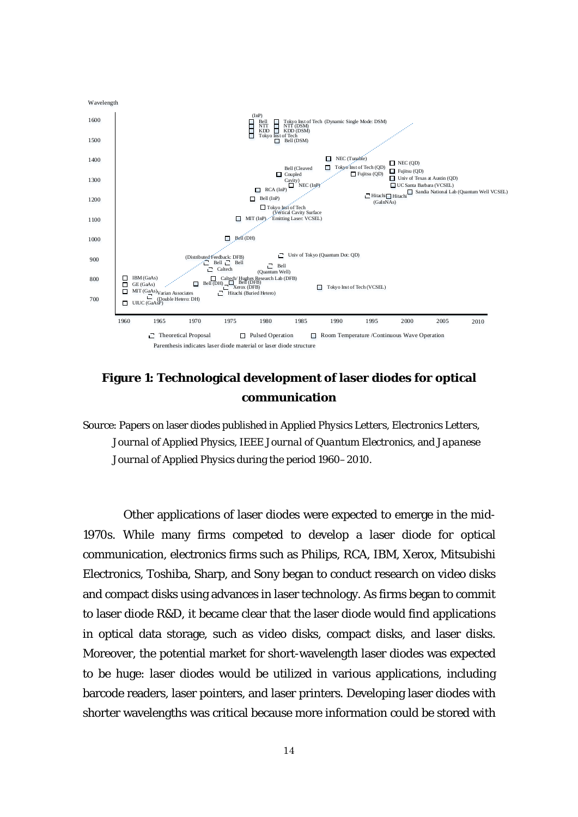

## **Figure 1: Technological development of laser diodes for optical communication**

Source: Papers on laser diodes published in *Applied Physics Letters, Electronics Letters, Journal of Applied Physics, IEEE Journal of Quantum Electronics,* and *Japanese Journal of Applied Physics* during the period 1960–2010.

Other applications of laser diodes were expected to emerge in the mid-1970s. While many firms competed to develop a laser diode for optical communication, electronics firms such as Philips, RCA, IBM, Xerox, Mitsubishi Electronics, Toshiba, Sharp, and Sony began to conduct research on video disks and compact disks using advances in laser technology. As firms began to commit to laser diode R&D, it became clear that the laser diode would find applications in optical data storage, such as video disks, compact disks, and laser disks. Moreover, the potential market for short-wavelength laser diodes was expected to be huge: laser diodes would be utilized in various applications, including barcode readers, laser pointers, and laser printers. Developing laser diodes with shorter wavelengths was critical because more information could be stored with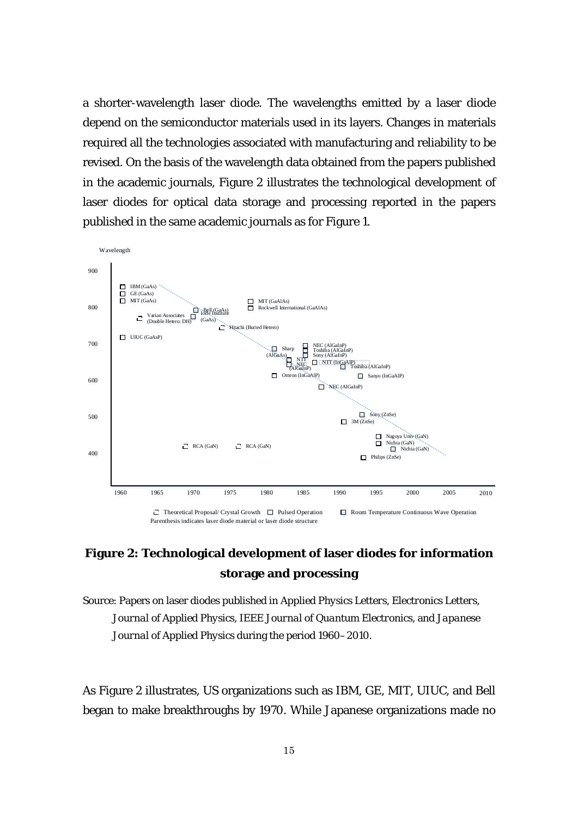a shorter-wavelength laser diode. The wavelengths emitted by a laser diode depend on the semiconductor materials used in its layers. Changes in materials required all the technologies associated with manufacturing and reliability to be revised. On the basis of the wavelength data obtained from the papers published in the academic journals, Figure 2 illustrates the technological development of laser diodes for optical data storage and processing reported in the papers published in the same academic journals as for Figure 1.



# **Figure 2: Technological development of laser diodes for information storage and processing**

Source: Papers on laser diodes published in *Applied Physics Letters, Electronics Letters, Journal of Applied Physics, IEEE Journal of Quantum Electronics,* and *Japanese Journal of Applied Physics* during the period 1960–2010.

As Figure 2 illustrates, US organizations such as IBM, GE, MIT, UIUC, and Bell began to make breakthroughs by 1970. While Japanese organizations made no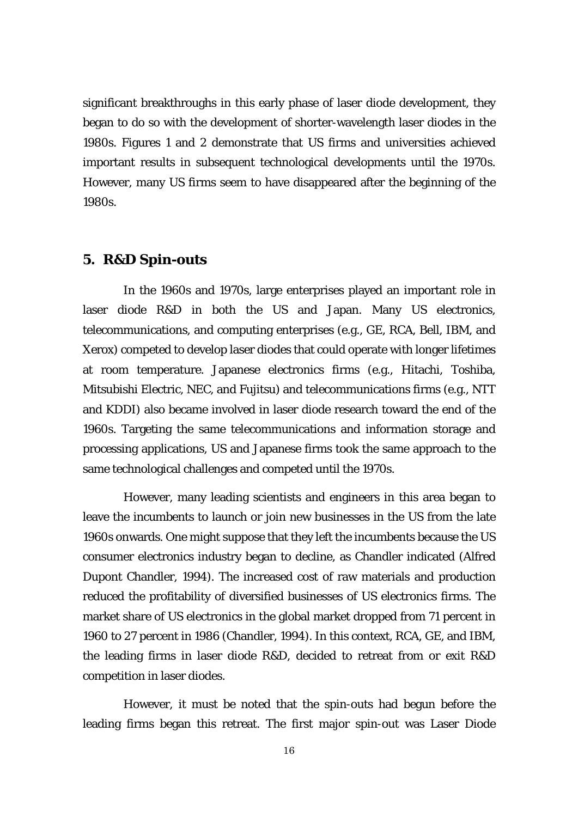significant breakthroughs in this early phase of laser diode development, they began to do so with the development of shorter-wavelength laser diodes in the 1980s. Figures 1 and 2 demonstrate that US firms and universities achieved important results in subsequent technological developments until the 1970s. However, many US firms seem to have disappeared after the beginning of the 1980s.

### **5. R&D Spin-outs**

In the 1960s and 1970s, large enterprises played an important role in laser diode R&D in both the US and Japan. Many US electronics, telecommunications, and computing enterprises (e.g., GE, RCA, Bell, IBM, and Xerox) competed to develop laser diodes that could operate with longer lifetimes at room temperature. Japanese electronics firms (e.g., Hitachi, Toshiba, Mitsubishi Electric, NEC, and Fujitsu) and telecommunications firms (e.g., NTT and KDDI) also became involved in laser diode research toward the end of the 1960s. Targeting the same telecommunications and information storage and processing applications, US and Japanese firms took the same approach to the same technological challenges and competed until the 1970s.

However, many leading scientists and engineers in this area began to leave the incumbents to launch or join new businesses in the US from the late 1960s onwards. One might suppose that they left the incumbents because the US consumer electronics industry began to decline, as Chandler indicated (Alfred Dupont Chandler, 1994). The increased cost of raw materials and production reduced the profitability of diversified businesses of US electronics firms. The market share of US electronics in the global market dropped from 71 percent in 1960 to 27 percent in 1986 (Chandler, 1994). In this context, RCA, GE, and IBM, the leading firms in laser diode R&D, decided to retreat from or exit R&D competition in laser diodes.

However, it must be noted that the spin-outs had begun before the leading firms began this retreat. The first major spin-out was Laser Diode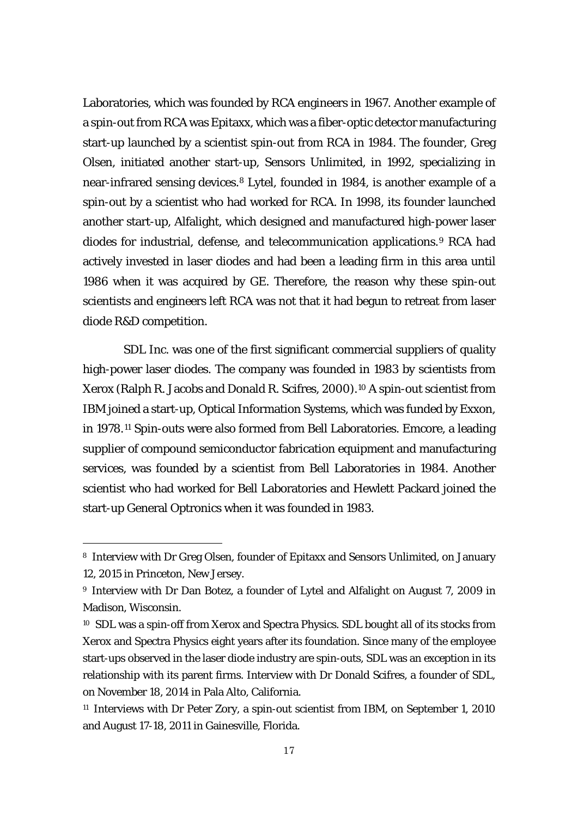Laboratories, which was founded by RCA engineers in 1967. Another example of a spin-out from RCA was Epitaxx, which was a fiber-optic detector manufacturing start-up launched by a scientist spin-out from RCA in 1984. The founder, Greg Olsen, initiated another start-up, Sensors Unlimited, in 1992, specializing in near-infrared sensing devices.[8](#page-18-0) Lytel, founded in 1984, is another example of a spin-out by a scientist who had worked for RCA. In 1998, its founder launched another start-up, Alfalight, which designed and manufactured high-power laser diodes for industrial, defense, and telecommunication applications.[9](#page-18-1) RCA had actively invested in laser diodes and had been a leading firm in this area until 1986 when it was acquired by GE. Therefore, the reason why these spin-out scientists and engineers left RCA was not that it had begun to retreat from laser diode R&D competition.

SDL Inc. was one of the first significant commercial suppliers of quality high-power laser diodes. The company was founded in 1983 by scientists from Xerox (Ralph R. Jacobs and Donald R. Scifres, 2000).[10](#page-18-2) A spin-out scientist from IBM joined a start-up, Optical Information Systems, which was funded by Exxon, in 1978.[11](#page-18-3) Spin-outs were also formed from Bell Laboratories. Emcore, a leading supplier of compound semiconductor fabrication equipment and manufacturing services, was founded by a scientist from Bell Laboratories in 1984. Another scientist who had worked for Bell Laboratories and Hewlett Packard joined the start-up General Optronics when it was founded in 1983.

<span id="page-18-0"></span><sup>8</sup> Interview with Dr Greg Olsen, founder of Epitaxx and Sensors Unlimited, on January 12, 2015 in Princeton, New Jersey.

<span id="page-18-1"></span><sup>9</sup> Interview with Dr Dan Botez, a founder of Lytel and Alfalight on August 7, 2009 in Madison, Wisconsin.

<span id="page-18-2"></span><sup>10</sup> SDL was a spin-off from Xerox and Spectra Physics. SDL bought all of its stocks from Xerox and Spectra Physics eight years after its foundation. Since many of the employee start-ups observed in the laser diode industry are spin-outs, SDL was an exception in its relationship with its parent firms. Interview with Dr Donald Scifres, a founder of SDL, on November 18, 2014 in Pala Alto, California.

<span id="page-18-3"></span><sup>&</sup>lt;sup>11</sup> Interviews with Dr Peter Zory, a spin-out scientist from IBM, on September 1, 2010 and August 17-18, 2011 in Gainesville, Florida.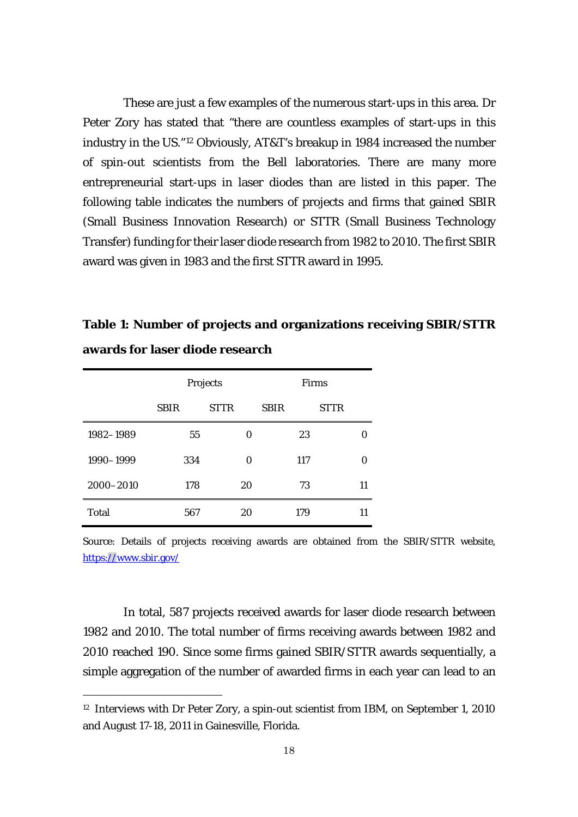These are just a few examples of the numerous start-ups in this area. Dr Peter Zory has stated that "there are countless examples of start-ups in this industry in the US."[12](#page-19-0) Obviously, AT&T's breakup in 1984 increased the number of spin-out scientists from the Bell laboratories. There are many more entrepreneurial start-ups in laser diodes than are listed in this paper. The following table indicates the numbers of projects and firms that gained SBIR (Small Business Innovation Research) or STTR (Small Business Technology Transfer) funding for their laser diode research from 1982 to 2010. The first SBIR award was given in 1983 and the first STTR award in 1995.

**Table 1: Number of projects and organizations receiving SBIR/STTR awards for laser diode research**

|              | Projects    |             | <b>Firms</b> |             |
|--------------|-------------|-------------|--------------|-------------|
|              | <b>SBIR</b> | <b>STTR</b> | <b>SBIR</b>  | <b>STTR</b> |
| 1982-1989    | 55          | 0           | 23           |             |
| 1990-1999    | 334         | 0           | 117          | O           |
| 2000-2010    | 178         | 20          | 73           | 11          |
| <b>Total</b> | 567         | 20          | 179          | 11          |

-

Source: Details of projects receiving awards are obtained from the SBIR/STTR website, <https://www.sbir.gov/>

In total, 587 projects received awards for laser diode research between 1982 and 2010. The total number of firms receiving awards between 1982 and 2010 reached 190. Since some firms gained SBIR/STTR awards sequentially, a simple aggregation of the number of awarded firms in each year can lead to an

<span id="page-19-0"></span><sup>&</sup>lt;sup>12</sup> Interviews with Dr Peter Zory, a spin-out scientist from IBM, on September 1, 2010 and August 17-18, 2011 in Gainesville, Florida.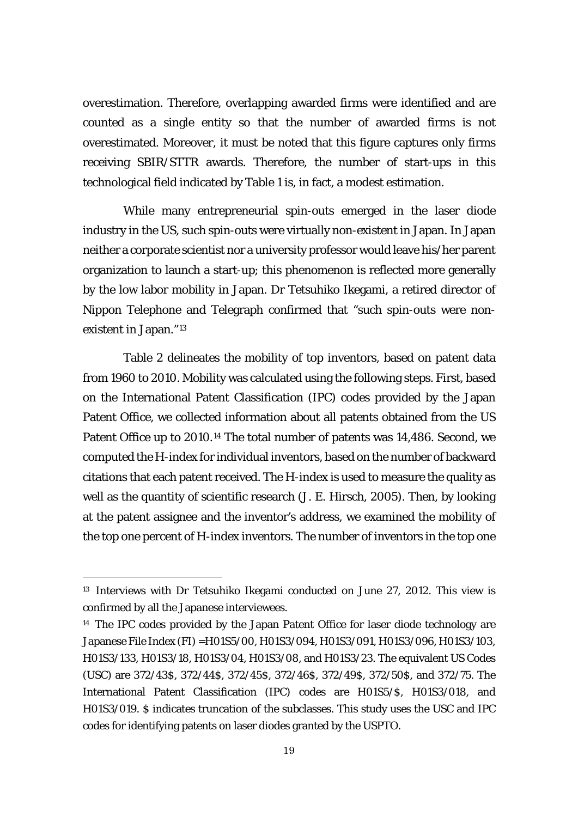overestimation. Therefore, overlapping awarded firms were identified and are counted as a single entity so that the number of awarded firms is not overestimated. Moreover, it must be noted that this figure captures only firms receiving SBIR/STTR awards. Therefore, the number of start-ups in this technological field indicated by Table 1 is, in fact, a modest estimation.

While many entrepreneurial spin-outs emerged in the laser diode industry in the US, such spin-outs were virtually non-existent in Japan. In Japan neither a corporate scientist nor a university professor would leave his/her parent organization to launch a start-up; this phenomenon is reflected more generally by the low labor mobility in Japan. Dr Tetsuhiko Ikegami, a retired director of Nippon Telephone and Telegraph confirmed that "such spin-outs were nonexistent in Japan."[13](#page-20-0)

Table 2 delineates the mobility of top inventors, based on patent data from 1960 to 2010. Mobility was calculated using the following steps. First, based on the International Patent Classification (IPC) codes provided by the Japan Patent Office, we collected information about all patents obtained from the US Patent Office up to 2010.<sup>[14](#page-20-1)</sup> The total number of patents was 14,486. Second, we computed the H-index for individual inventors, based on the number of backward citations that each patent received. The H-index is used to measure the quality as well as the quantity of scientific research (J. E. Hirsch, 2005). Then, by looking at the patent assignee and the inventor's address, we examined the mobility of the top one percent of H-index inventors. The number of inventors in the top one

-

<span id="page-20-0"></span><sup>&</sup>lt;sup>13</sup> Interviews with Dr Tetsuhiko Ikegami conducted on June 27, 2012. This view is confirmed by all the Japanese interviewees.

<span id="page-20-1"></span><sup>&</sup>lt;sup>14</sup> The IPC codes provided by the Japan Patent Office for laser diode technology are Japanese File Index (FI) =H01S5/00, H01S3/094, H01S3/091, H01S3/096, H01S3/103, H01S3/133, H01S3/18, H01S3/04, H01S3/08, and H01S3/23. The equivalent US Codes (USC) are 372/43\$, 372/44\$, 372/45\$, 372/46\$, 372/49\$, 372/50\$, and 372/75. The International Patent Classification (IPC) codes are H01S5/\$, H01S3/018, and H01S3/019. \$ indicates truncation of the subclasses. This study uses the USC and IPC codes for identifying patents on laser diodes granted by the USPTO.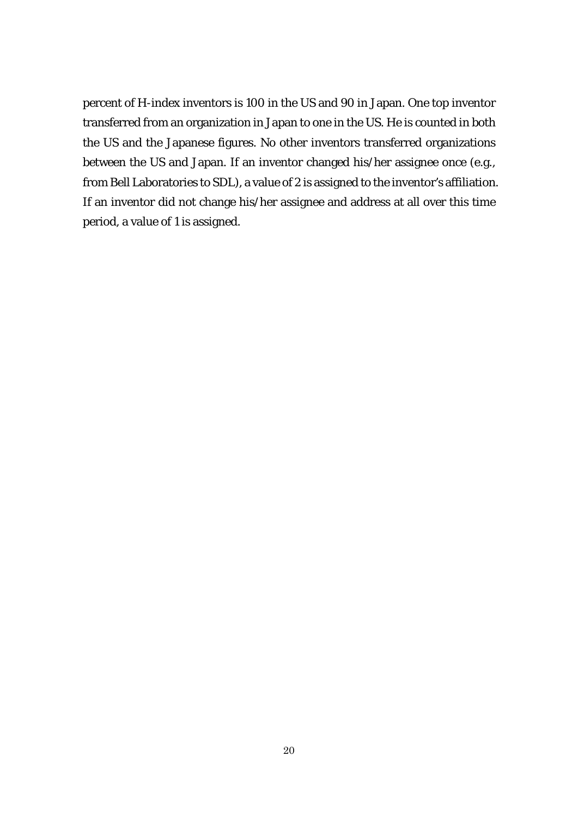percent of H-index inventors is 100 in the US and 90 in Japan. One top inventor transferred from an organization in Japan to one in the US. He is counted in both the US and the Japanese figures. No other inventors transferred organizations between the US and Japan. If an inventor changed his/her assignee once (e.g., from Bell Laboratories to SDL), a value of 2 is assigned to the inventor's affiliation. If an inventor did not change his/her assignee and address at all over this time period, a value of 1 is assigned.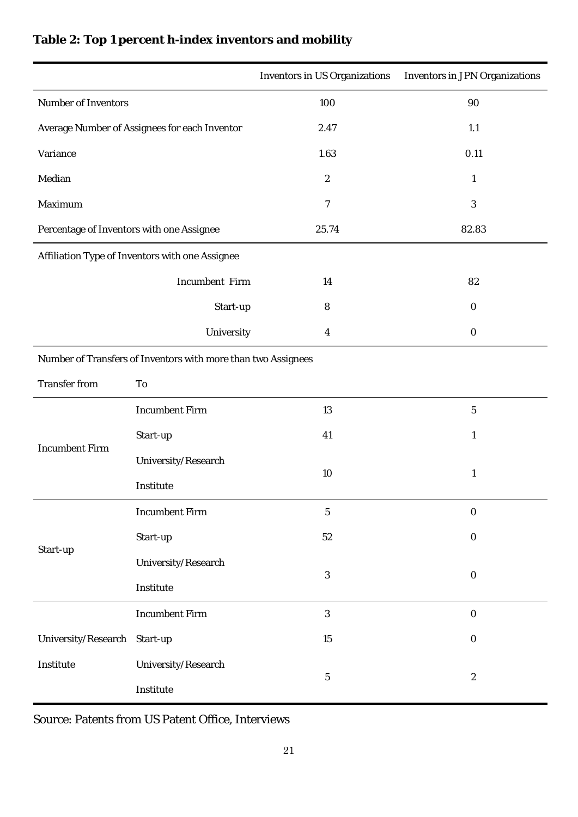|                                                               |                       | <b>Inventors in US Organizations</b> | <b>Inventors in JPN Organizations</b> |  |  |
|---------------------------------------------------------------|-----------------------|--------------------------------------|---------------------------------------|--|--|
| <b>Number of Inventors</b>                                    |                       | 100                                  | 90                                    |  |  |
| Average Number of Assignees for each Inventor                 |                       | 2.47                                 | 1.1                                   |  |  |
| Variance                                                      |                       | 1.63                                 | 0.11                                  |  |  |
| Median                                                        |                       | $\boldsymbol{2}$                     | $\mathbf{1}$                          |  |  |
| Maximum                                                       |                       | 7                                    | $\sqrt{3}$                            |  |  |
| Percentage of Inventors with one Assignee                     |                       | 25.74                                | 82.83                                 |  |  |
| Affiliation Type of Inventors with one Assignee               |                       |                                      |                                       |  |  |
|                                                               | <b>Incumbent Firm</b> | 14                                   | 82                                    |  |  |
|                                                               | Start-up              | 8                                    | $\bf{0}$                              |  |  |
|                                                               | University            | 4                                    | $\bf{0}$                              |  |  |
| Number of Transfers of Inventors with more than two Assignees |                       |                                      |                                       |  |  |
| <b>Transfer from</b>                                          | To                    |                                      |                                       |  |  |
| <b>Incumbent Firm</b>                                         | <b>Incumbent Firm</b> | 13                                   | $\mathbf 5$                           |  |  |
|                                                               | Start-up              | 41                                   | $\mathbf{1}$                          |  |  |
|                                                               | University/Research   |                                      | $\mathbf{1}$                          |  |  |
|                                                               | Institute             | 10                                   |                                       |  |  |
| Start-up                                                      | <b>Incumbent Firm</b> | $\mathbf 5$                          | $\boldsymbol{0}$                      |  |  |
|                                                               | Start-up              | $52\,$                               | $\boldsymbol{0}$                      |  |  |
|                                                               | University/Research   |                                      |                                       |  |  |
|                                                               | Institute             | $\mathbf{3}$                         | $\boldsymbol{0}$                      |  |  |
|                                                               | <b>Incumbent Firm</b> | $\boldsymbol{3}$                     | $\boldsymbol{0}$                      |  |  |
| University/Research Start-up                                  |                       | $15\,$                               | $\boldsymbol{0}$                      |  |  |
| Institute                                                     | University/Research   |                                      | $\boldsymbol{2}$                      |  |  |
|                                                               | Institute             | $\bf 5$                              |                                       |  |  |

# **Table 2: Top 1 percent h-index inventors and mobility**

Source: Patents from US Patent Office, Interviews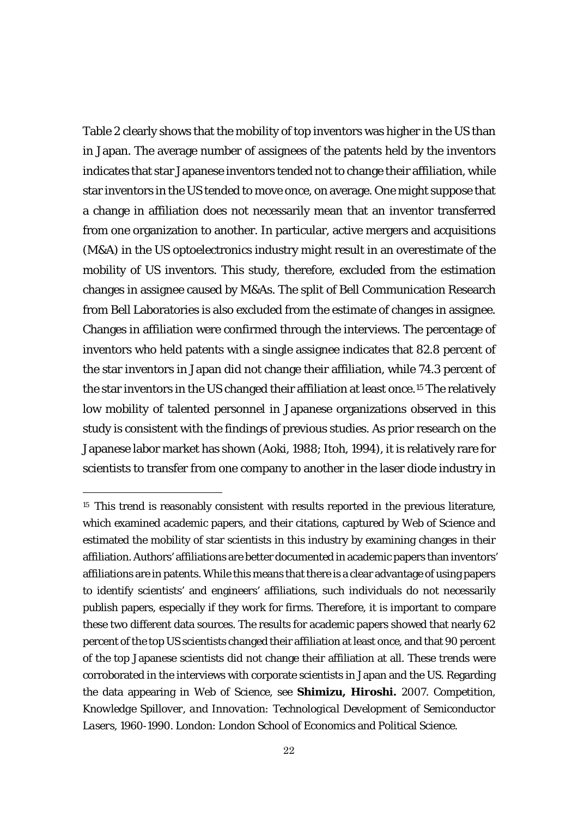Table 2 clearly shows that the mobility of top inventors was higher in the US than in Japan. The average number of assignees of the patents held by the inventors indicates that star Japanese inventors tended not to change their affiliation, while star inventors in the US tended to move once, on average. One might suppose that a change in affiliation does not necessarily mean that an inventor transferred from one organization to another. In particular, active mergers and acquisitions (M&A) in the US optoelectronics industry might result in an overestimate of the mobility of US inventors. This study, therefore, excluded from the estimation changes in assignee caused by M&As. The split of Bell Communication Research from Bell Laboratories is also excluded from the estimate of changes in assignee. Changes in affiliation were confirmed through the interviews. The percentage of inventors who held patents with a single assignee indicates that 82.8 percent of the star inventors in Japan did not change their affiliation, while 74.3 percent of the star inventors in the US changed their affiliation at least once.[15](#page-23-0) The relatively low mobility of talented personnel in Japanese organizations observed in this study is consistent with the findings of previous studies. As prior research on the Japanese labor market has shown (Aoki, 1988; Itoh, 1994), it is relatively rare for scientists to transfer from one company to another in the laser diode industry in

-

<span id="page-23-0"></span><sup>&</sup>lt;sup>15</sup> This trend is reasonably consistent with results reported in the previous literature, which examined academic papers, and their citations, captured by *Web of Science* and estimated the mobility of star scientists in this industry by examining changes in their affiliation. Authors' affiliations are better documented in academic papers than inventors' affiliations are in patents. While this means that there is a clear advantage of using papers to identify scientists' and engineers' affiliations, such individuals do not necessarily publish papers, especially if they work for firms. Therefore, it is important to compare these two different data sources. The results for academic papers showed that nearly 62 percent of the top US scientists changed their affiliation at least once, and that 90 percent of the top Japanese scientists did not change their affiliation at all. These trends were corroborated in the interviews with corporate scientists in Japan and the US. Regarding the data appearing in Web of Science, see **Shimizu, Hiroshi.** 2007. *Competition, Knowledge Spillover, and Innovation: Technological Development of Semiconductor Lasers, 1960-1990*. London: London School of Economics and Political Science.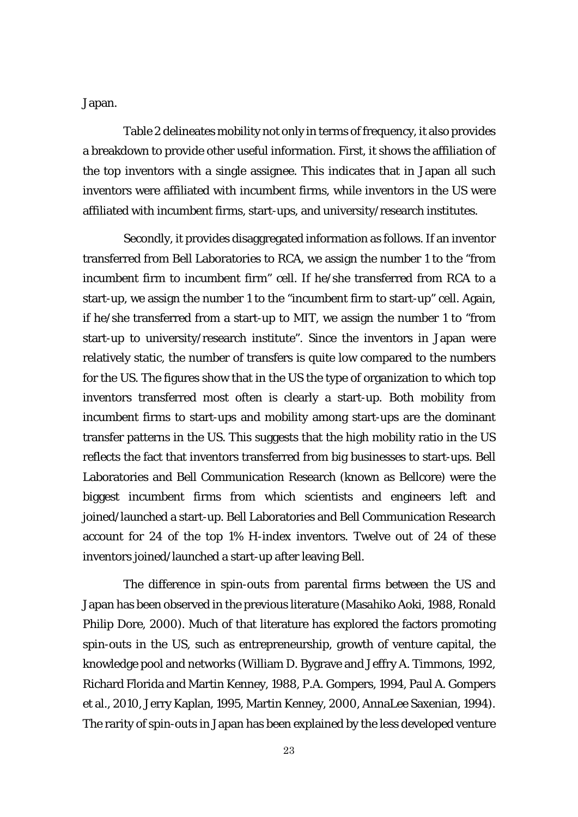Japan.

Table 2 delineates mobility not only in terms of frequency, it also provides a breakdown to provide other useful information. First, it shows the affiliation of the top inventors with a single assignee. This indicates that in Japan all such inventors were affiliated with incumbent firms, while inventors in the US were affiliated with incumbent firms, start-ups, and university/research institutes.

Secondly, it provides disaggregated information as follows. If an inventor transferred from Bell Laboratories to RCA, we assign the number 1 to the "from incumbent firm to incumbent firm" cell. If he/she transferred from RCA to a start-up, we assign the number 1 to the "incumbent firm to start-up" cell. Again, if he/she transferred from a start-up to MIT, we assign the number 1 to "from start-up to university/research institute". Since the inventors in Japan were relatively static, the number of transfers is quite low compared to the numbers for the US. The figures show that in the US the type of organization to which top inventors transferred most often is clearly a start-up. Both mobility from incumbent firms to start-ups and mobility among start-ups are the dominant transfer patterns in the US. This suggests that the high mobility ratio in the US reflects the fact that inventors transferred from big businesses to start-ups. Bell Laboratories and Bell Communication Research (known as Bellcore) were the biggest incumbent firms from which scientists and engineers left and joined/launched a start-up. Bell Laboratories and Bell Communication Research account for 24 of the top 1% H-index inventors. Twelve out of 24 of these inventors joined/launched a start-up after leaving Bell.

The difference in spin-outs from parental firms between the US and Japan has been observed in the previous literature (Masahiko Aoki, 1988, Ronald Philip Dore, 2000). Much of that literature has explored the factors promoting spin-outs in the US, such as entrepreneurship, growth of venture capital, the knowledge pool and networks (William D. Bygrave and Jeffry A. Timmons, 1992, Richard Florida and Martin Kenney, 1988, P.A. Gompers, 1994, Paul A. Gompers et al., 2010, Jerry Kaplan, 1995, Martin Kenney, 2000, AnnaLee Saxenian, 1994). The rarity of spin-outs in Japan has been explained by the less developed venture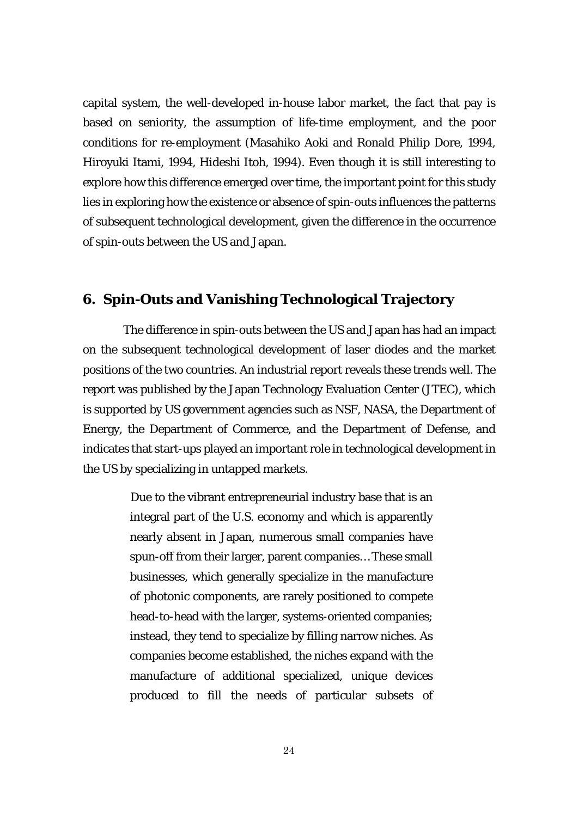capital system, the well-developed in-house labor market, the fact that pay is based on seniority, the assumption of life-time employment, and the poor conditions for re-employment (Masahiko Aoki and Ronald Philip Dore, 1994, Hiroyuki Itami, 1994, Hideshi Itoh, 1994). Even though it is still interesting to explore how this difference emerged over time, the important point for this study lies in exploring how the existence or absence of spin-outs influences the patterns of subsequent technological development, given the difference in the occurrence of spin-outs between the US and Japan.

### **6. Spin-Outs and Vanishing Technological Trajectory**

The difference in spin-outs between the US and Japan has had an impact on the subsequent technological development of laser diodes and the market positions of the two countries. An industrial report reveals these trends well. The report was published by the Japan Technology Evaluation Center (JTEC), which is supported by US government agencies such as NSF, NASA, the Department of Energy, the Department of Commerce, and the Department of Defense, and indicates that start-ups played an important role in technological development in the US by specializing in untapped markets.

> Due to the vibrant entrepreneurial industry base that is an integral part of the U.S. economy and which is apparently nearly absent in Japan, numerous small companies have spun-off from their larger, parent companies… These small businesses, which generally specialize in the manufacture of photonic components, are rarely positioned to compete head-to-head with the larger, systems-oriented companies; instead, they tend to specialize by filling narrow niches. As companies become established, the niches expand with the manufacture of additional specialized, unique devices produced to fill the needs of particular subsets of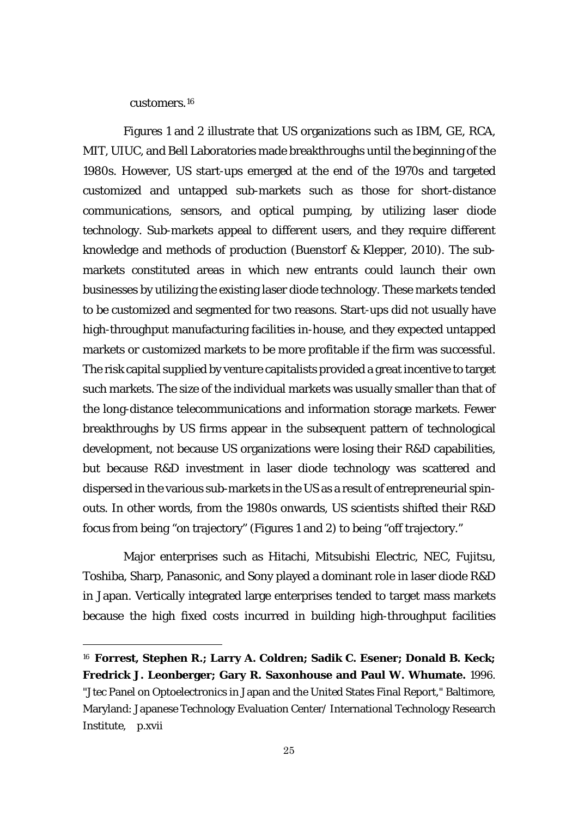customers.[16](#page-26-0)

<u>.</u>

Figures 1 and 2 illustrate that US organizations such as IBM, GE, RCA, MIT, UIUC, and Bell Laboratories made breakthroughs until the beginning of the 1980s. However, US start-ups emerged at the end of the 1970s and targeted customized and untapped sub-markets such as those for short-distance communications, sensors, and optical pumping, by utilizing laser diode technology. Sub-markets appeal to different users, and they require different knowledge and methods of production (Buenstorf & Klepper, 2010). The submarkets constituted areas in which new entrants could launch their own businesses by utilizing the existing laser diode technology. These markets tended to be customized and segmented for two reasons. Start-ups did not usually have high-throughput manufacturing facilities in-house, and they expected untapped markets or customized markets to be more profitable if the firm was successful. The risk capital supplied by venture capitalists provided a great incentive to target such markets. The size of the individual markets was usually smaller than that of the long-distance telecommunications and information storage markets. Fewer breakthroughs by US firms appear in the subsequent pattern of technological development, not because US organizations were losing their R&D capabilities, but because R&D investment in laser diode technology was scattered and dispersed in the various sub-markets in the US as a result of entrepreneurial spinouts. In other words, from the 1980s onwards, US scientists shifted their R&D focus from being "on trajectory" (Figures 1 and 2) to being "off trajectory."

Major enterprises such as Hitachi, Mitsubishi Electric, NEC, Fujitsu, Toshiba, Sharp, Panasonic, and Sony played a dominant role in laser diode R&D in Japan. Vertically integrated large enterprises tended to target mass markets because the high fixed costs incurred in building high-throughput facilities

<span id="page-26-0"></span><sup>16</sup> **Forrest, Stephen R.; Larry A. Coldren; Sadik C. Esener; Donald B. Keck; Fredrick J. Leonberger; Gary R. Saxonhouse and Paul W. Whumate.** 1996. "Jtec Panel on Optoelectronics in Japan and the United States Final Report," Baltimore, Maryland: Japanese Technology Evaluation Center/ International Technology Research Institute, p.xvii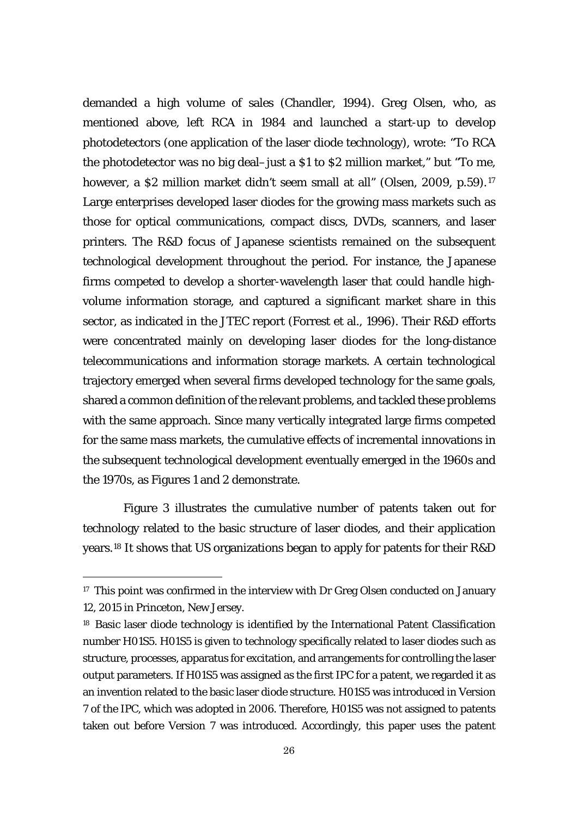demanded a high volume of sales (Chandler, 1994). Greg Olsen, who, as mentioned above, left RCA in 1984 and launched a start-up to develop photodetectors (one application of the laser diode technology), wrote: "To RCA the photodetector was no big deal–just a \$1 to \$2 million market," but "To me, however, a \$2 million market didn't seem small at all" (Olsen, 2009, p.59).<sup>[17](#page-27-0)</sup> Large enterprises developed laser diodes for the growing mass markets such as those for optical communications, compact discs, DVDs, scanners, and laser printers. The R&D focus of Japanese scientists remained on the subsequent technological development throughout the period. For instance, the Japanese firms competed to develop a shorter-wavelength laser that could handle highvolume information storage, and captured a significant market share in this sector, as indicated in the JTEC report (Forrest et al., 1996). Their R&D efforts were concentrated mainly on developing laser diodes for the long-distance telecommunications and information storage markets. A certain technological trajectory emerged when several firms developed technology for the same goals, shared a common definition of the relevant problems, and tackled these problems with the same approach. Since many vertically integrated large firms competed for the same mass markets, the cumulative effects of incremental innovations in the subsequent technological development eventually emerged in the 1960s and the 1970s, as Figures 1 and 2 demonstrate.

Figure 3 illustrates the cumulative number of patents taken out for technology related to the basic structure of laser diodes, and their application years.[18](#page-27-1) It shows that US organizations began to apply for patents for their R&D

-

<span id="page-27-0"></span><sup>&</sup>lt;sup>17</sup> This point was confirmed in the interview with Dr Greg Olsen conducted on January 12, 2015 in Princeton, New Jersey.

<span id="page-27-1"></span><sup>&</sup>lt;sup>18</sup> Basic laser diode technology is identified by the International Patent Classification number H01S5. H01S5 is given to technology specifically related to laser diodes such as structure, processes, apparatus for excitation, and arrangements for controlling the laser output parameters. If H01S5 was assigned as the first IPC for a patent, we regarded it as an invention related to the basic laser diode structure. H01S5 was introduced in Version 7 of the IPC, which was adopted in 2006. Therefore, H01S5 was not assigned to patents taken out before Version 7 was introduced. Accordingly, this paper uses the patent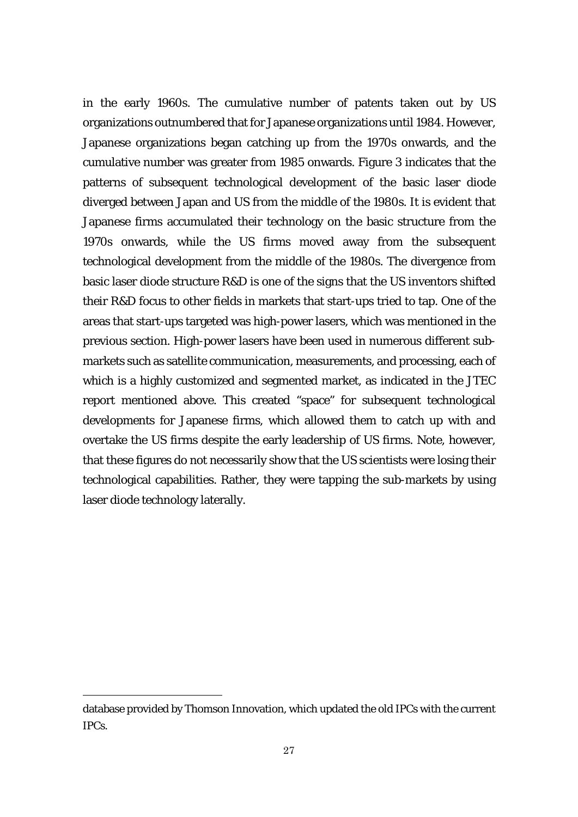in the early 1960s. The cumulative number of patents taken out by US organizations outnumbered that for Japanese organizations until 1984. However, Japanese organizations began catching up from the 1970s onwards, and the cumulative number was greater from 1985 onwards. Figure 3 indicates that the patterns of subsequent technological development of the basic laser diode diverged between Japan and US from the middle of the 1980s. It is evident that Japanese firms accumulated their technology on the basic structure from the 1970s onwards, while the US firms moved away from the subsequent technological development from the middle of the 1980s. The divergence from basic laser diode structure R&D is one of the signs that the US inventors shifted their R&D focus to other fields in markets that start-ups tried to tap. One of the areas that start-ups targeted was high-power lasers, which was mentioned in the previous section. High-power lasers have been used in numerous different submarkets such as satellite communication, measurements, and processing, each of which is a highly customized and segmented market, as indicated in the JTEC report mentioned above. This created "space" for subsequent technological developments for Japanese firms, which allowed them to catch up with and overtake the US firms despite the early leadership of US firms. Note, however, that these figures do not necessarily show that the US scientists were losing their technological capabilities. Rather, they were tapping the sub-markets by using laser diode technology laterally.

-

database provided by Thomson Innovation, which updated the old IPCs with the current IPCs.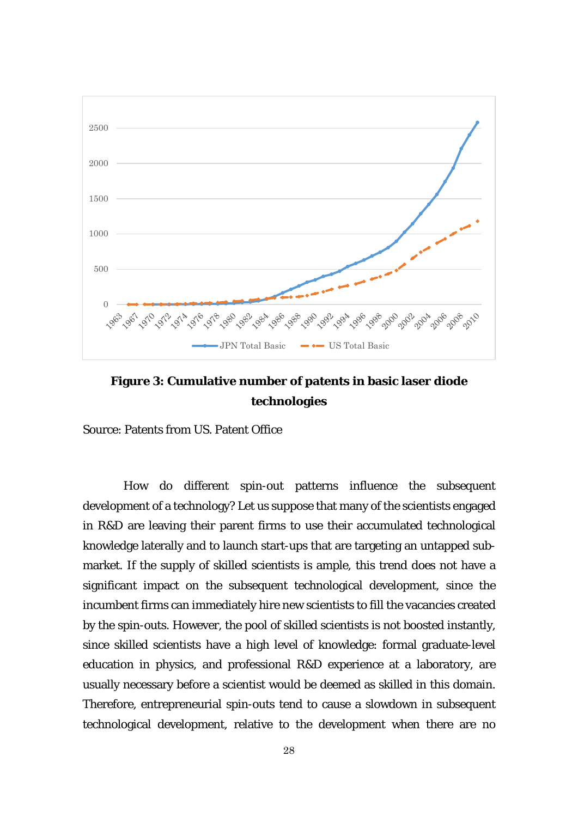

**Figure 3: Cumulative number of patents in basic laser diode technologies**

Source: Patents from US. Patent Office

How do different spin-out patterns influence the subsequent development of a technology? Let us suppose that many of the scientists engaged in R&D are leaving their parent firms to use their accumulated technological knowledge laterally and to launch start-ups that are targeting an untapped submarket. If the supply of skilled scientists is ample, this trend does not have a significant impact on the subsequent technological development, since the incumbent firms can immediately hire new scientists to fill the vacancies created by the spin-outs. However, the pool of skilled scientists is not boosted instantly, since skilled scientists have a high level of knowledge: formal graduate-level education in physics, and professional R&D experience at a laboratory, are usually necessary before a scientist would be deemed as skilled in this domain. Therefore, entrepreneurial spin-outs tend to cause a slowdown in subsequent technological development, relative to the development when there are no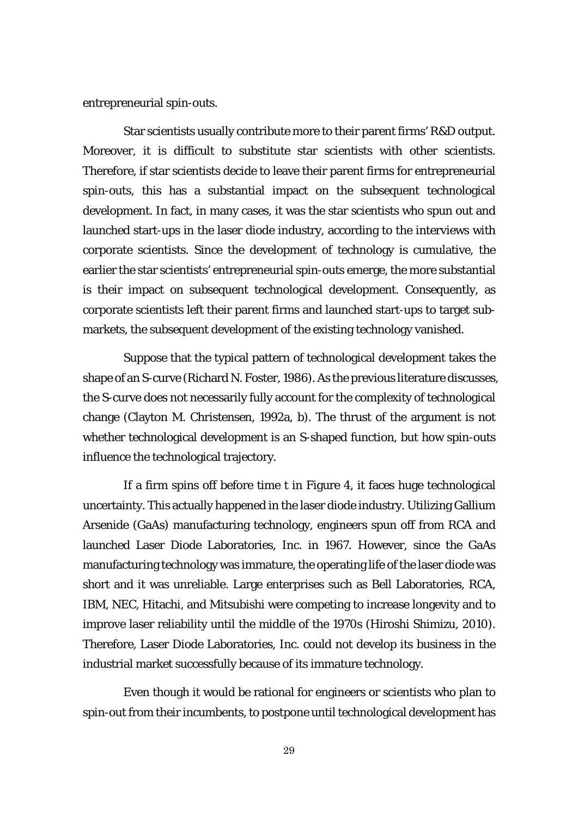entrepreneurial spin-outs.

Star scientists usually contribute more to their parent firms' R&D output. Moreover, it is difficult to substitute star scientists with other scientists. Therefore, if star scientists decide to leave their parent firms for entrepreneurial spin-outs, this has a substantial impact on the subsequent technological development. In fact, in many cases, it was the star scientists who spun out and launched start-ups in the laser diode industry, according to the interviews with corporate scientists. Since the development of technology is cumulative, the earlier the star scientists' entrepreneurial spin-outs emerge, the more substantial is their impact on subsequent technological development. Consequently, as corporate scientists left their parent firms and launched start-ups to target submarkets, the subsequent development of the existing technology vanished.

Suppose that the typical pattern of technological development takes the shape of an S-curve (Richard N. Foster, 1986). As the previous literature discusses, the S-curve does not necessarily fully account for the complexity of technological change (Clayton M. Christensen, 1992a, b). The thrust of the argument is not whether technological development is an S-shaped function, but how spin-outs influence the technological trajectory.

If a firm spins off before time *t* in Figure 4, it faces huge technological uncertainty. This actually happened in the laser diode industry. Utilizing Gallium Arsenide (GaAs) manufacturing technology, engineers spun off from RCA and launched Laser Diode Laboratories, Inc. in 1967. However, since the GaAs manufacturing technology was immature, the operating life of the laser diode was short and it was unreliable. Large enterprises such as Bell Laboratories, RCA, IBM, NEC, Hitachi, and Mitsubishi were competing to increase longevity and to improve laser reliability until the middle of the 1970s (Hiroshi Shimizu, 2010). Therefore, Laser Diode Laboratories, Inc. could not develop its business in the industrial market successfully because of its immature technology.

Even though it would be rational for engineers or scientists who plan to spin-out from their incumbents, to postpone until technological development has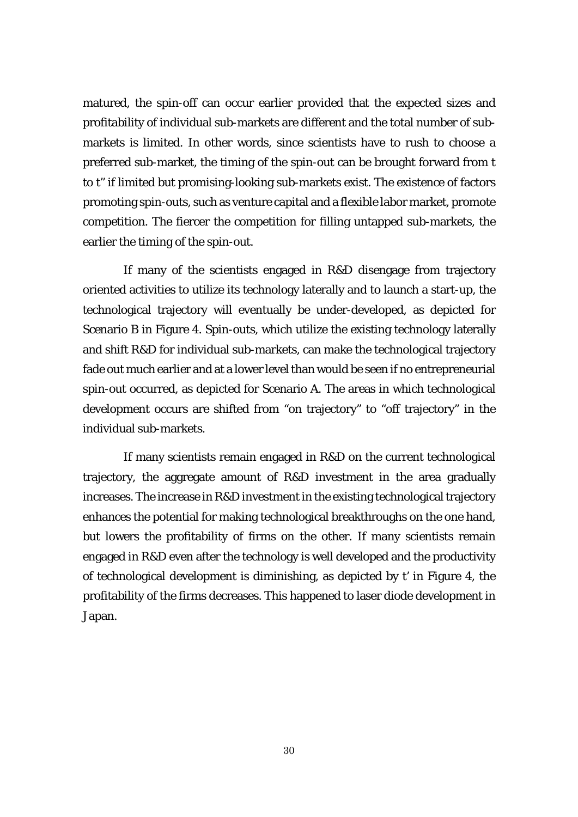matured, the spin-off can occur earlier provided that the expected sizes and profitability of individual sub-markets are different and the total number of submarkets is limited. In other words, since scientists have to rush to choose a preferred sub-market, the timing of the spin-out can be brought forward from *t* to *t''* if limited but promising-looking sub-markets exist. The existence of factors promoting spin-outs, such as venture capital and a flexible labor market, promote competition. The fiercer the competition for filling untapped sub-markets, the earlier the timing of the spin-out.

If many of the scientists engaged in R&D disengage from trajectory oriented activities to utilize its technology laterally and to launch a start-up, the technological trajectory will eventually be under-developed, as depicted for Scenario B in Figure 4. Spin-outs, which utilize the existing technology laterally and shift R&D for individual sub-markets, can make the technological trajectory fade out much earlier and at a lower level than would be seen if no entrepreneurial spin-out occurred, as depicted for Scenario A. The areas in which technological development occurs are shifted from "on trajectory" to "off trajectory" in the individual sub-markets.

If many scientists remain engaged in R&D on the current technological trajectory, the aggregate amount of R&D investment in the area gradually increases. The increase in R&D investment in the existing technological trajectory enhances the potential for making technological breakthroughs on the one hand, but lowers the profitability of firms on the other. If many scientists remain engaged in R&D even after the technology is well developed and the productivity of technological development is diminishing, as depicted by *t'* in Figure 4, the profitability of the firms decreases. This happened to laser diode development in Japan.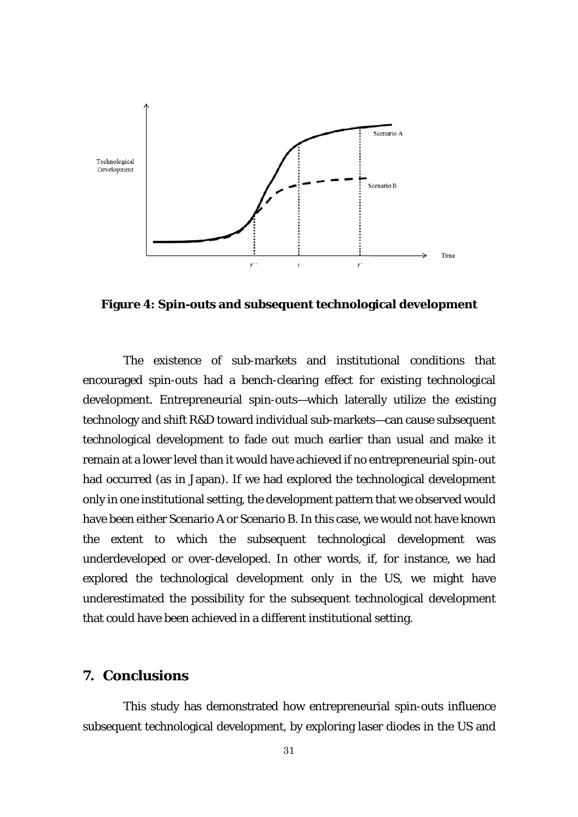

**Figure 4: Spin-outs and subsequent technological development**

The existence of sub-markets and institutional conditions that encouraged spin-outs had a bench-clearing effect for existing technological development. Entrepreneurial spin-outs—which laterally utilize the existing technology and shift R&D toward individual sub-markets—can cause subsequent technological development to fade out much earlier than usual and make it remain at a lower level than it would have achieved if no entrepreneurial spin-out had occurred (as in Japan). If we had explored the technological development only in one institutional setting, the development pattern that we observed would have been either Scenario A or Scenario B. In this case, we would not have known the extent to which the subsequent technological development was underdeveloped or over-developed. In other words, if, for instance, we had explored the technological development only in the US, we might have underestimated the possibility for the subsequent technological development that could have been achieved in a different institutional setting.

### **7. Conclusions**

This study has demonstrated how entrepreneurial spin-outs influence subsequent technological development, by exploring laser diodes in the US and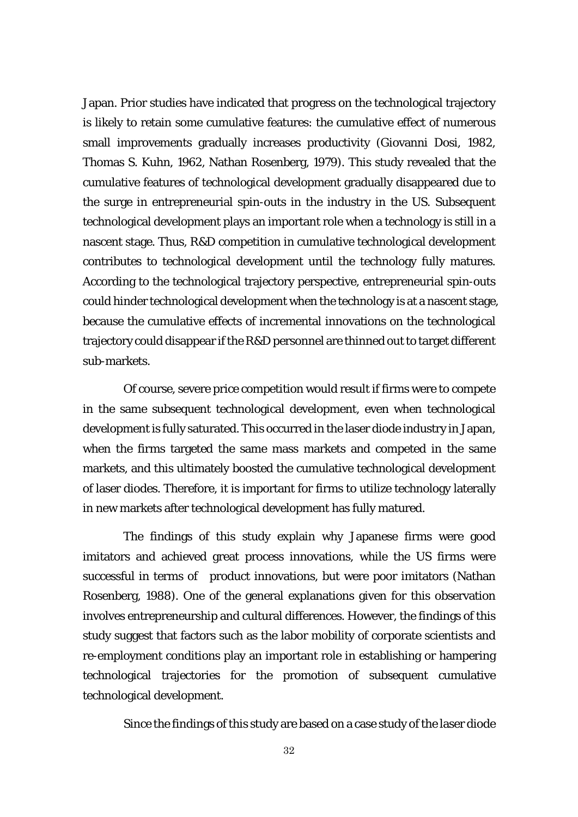Japan. Prior studies have indicated that progress on the technological trajectory is likely to retain some cumulative features: the cumulative effect of numerous small improvements gradually increases productivity (Giovanni Dosi, 1982, Thomas S. Kuhn, 1962, Nathan Rosenberg, 1979). This study revealed that the cumulative features of technological development gradually disappeared due to the surge in entrepreneurial spin-outs in the industry in the US. Subsequent technological development plays an important role when a technology is still in a nascent stage. Thus, R&D competition in cumulative technological development contributes to technological development until the technology fully matures. According to the technological trajectory perspective, entrepreneurial spin-outs could hinder technological development when the technology is at a nascent stage, because the cumulative effects of incremental innovations on the technological trajectory could disappear if the R&D personnel are thinned out to target different sub-markets.

Of course, severe price competition would result if firms were to compete in the same subsequent technological development, even when technological development is fully saturated. This occurred in the laser diode industry in Japan, when the firms targeted the same mass markets and competed in the same markets, and this ultimately boosted the cumulative technological development of laser diodes. Therefore, it is important for firms to utilize technology laterally in new markets after technological development has fully matured.

The findings of this study explain why Japanese firms were good imitators and achieved great process innovations, while the US firms were successful in terms of product innovations, but were poor imitators (Nathan Rosenberg, 1988). One of the general explanations given for this observation involves entrepreneurship and cultural differences. However, the findings of this study suggest that factors such as the labor mobility of corporate scientists and re-employment conditions play an important role in establishing or hampering technological trajectories for the promotion of subsequent cumulative technological development.

Since the findings of this study are based on a case study of the laser diode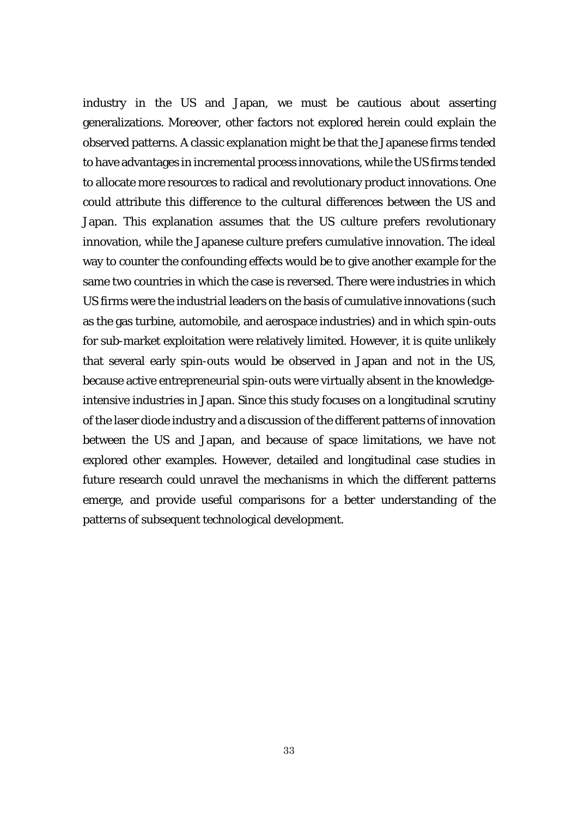industry in the US and Japan, we must be cautious about asserting generalizations. Moreover, other factors not explored herein could explain the observed patterns. A classic explanation might be that the Japanese firms tended to have advantages in incremental process innovations, while the US firms tended to allocate more resources to radical and revolutionary product innovations. One could attribute this difference to the cultural differences between the US and Japan. This explanation assumes that the US culture prefers revolutionary innovation, while the Japanese culture prefers cumulative innovation. The ideal way to counter the confounding effects would be to give another example for the same two countries in which the case is reversed. There were industries in which US firms were the industrial leaders on the basis of cumulative innovations (such as the gas turbine, automobile, and aerospace industries) and in which spin-outs for sub-market exploitation were relatively limited. However, it is quite unlikely that several early spin-outs would be observed in Japan and not in the US, because active entrepreneurial spin-outs were virtually absent in the knowledgeintensive industries in Japan. Since this study focuses on a longitudinal scrutiny of the laser diode industry and a discussion of the different patterns of innovation between the US and Japan, and because of space limitations, we have not explored other examples. However, detailed and longitudinal case studies in future research could unravel the mechanisms in which the different patterns emerge, and provide useful comparisons for a better understanding of the patterns of subsequent technological development.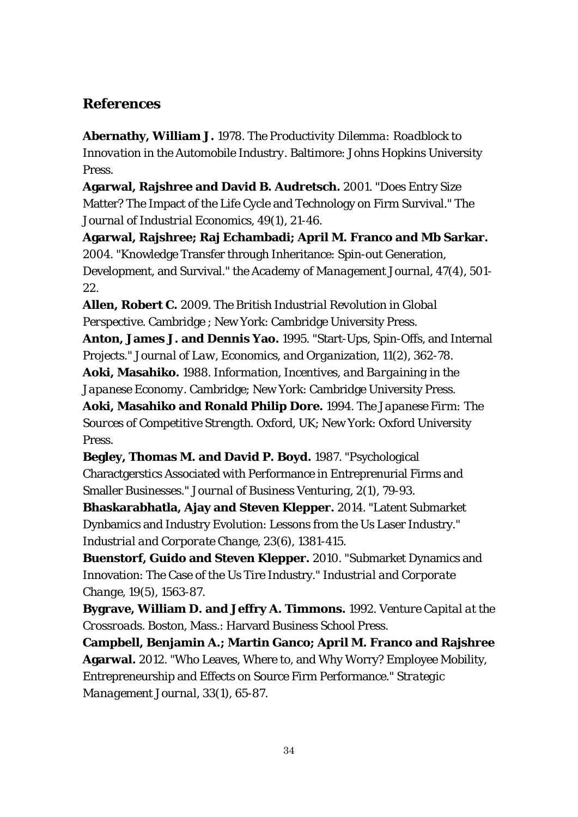# **References**

**Abernathy, William J.** 1978. *The Productivity Dilemma: Roadblock to Innovation in the Automobile Industry*. Baltimore: Johns Hopkins University Press.

**Agarwal, Rajshree and David B. Audretsch.** 2001. "Does Entry Size Matter? The Impact of the Life Cycle and Technology on Firm Survival." *The Journal of Industrial Economics*, 49(1), 21-46.

**Agarwal, Rajshree; Raj Echambadi; April M. Franco and Mb Sarkar.** 2004. "Knowledge Transfer through Inheritance: Spin-out Generation, Development, and Survival." *the Academy of Management Journal*, 47(4), 501- 22.

**Allen, Robert C.** 2009. *The British Industrial Revolution in Global Perspective*. Cambridge ; New York: Cambridge University Press.

**Anton, James J. and Dennis Yao.** 1995. "Start-Ups, Spin-Offs, and Internal Projects." *Journal of Law, Economics, and Organization*, 11(2), 362-78. **Aoki, Masahiko.** 1988. *Information, Incentives, and Bargaining in the* 

*Japanese Economy*. Cambridge; New York: Cambridge University Press.

**Aoki, Masahiko and Ronald Philip Dore.** 1994. *The Japanese Firm: The Sources of Competitive Strength*. Oxford, UK; New York: Oxford University Press.

**Begley, Thomas M. and David P. Boyd.** 1987. "Psychological Charactgerstics Associated with Performance in Entreprenurial Firms and Smaller Businesses." *Journal of Business Venturing*, 2(1), 79-93.

**Bhaskarabhatla, Ajay and Steven Klepper.** 2014. "Latent Submarket Dynbamics and Industry Evolution: Lessons from the Us Laser Industry." *Industrial and Corporate Change*, 23(6), 1381-415.

**Buenstorf, Guido and Steven Klepper.** 2010. "Submarket Dynamics and Innovation: The Case of the Us Tire Industry." *Industrial and Corporate Change*, 19(5), 1563-87.

**Bygrave, William D. and Jeffry A. Timmons.** 1992. *Venture Capital at the Crossroads*. Boston, Mass.: Harvard Business School Press.

**Campbell, Benjamin A.; Martin Ganco; April M. Franco and Rajshree Agarwal.** 2012. "Who Leaves, Where to, and Why Worry? Employee Mobility, Entrepreneurship and Effects on Source Firm Performance." *Strategic Management Journal*, 33(1), 65-87.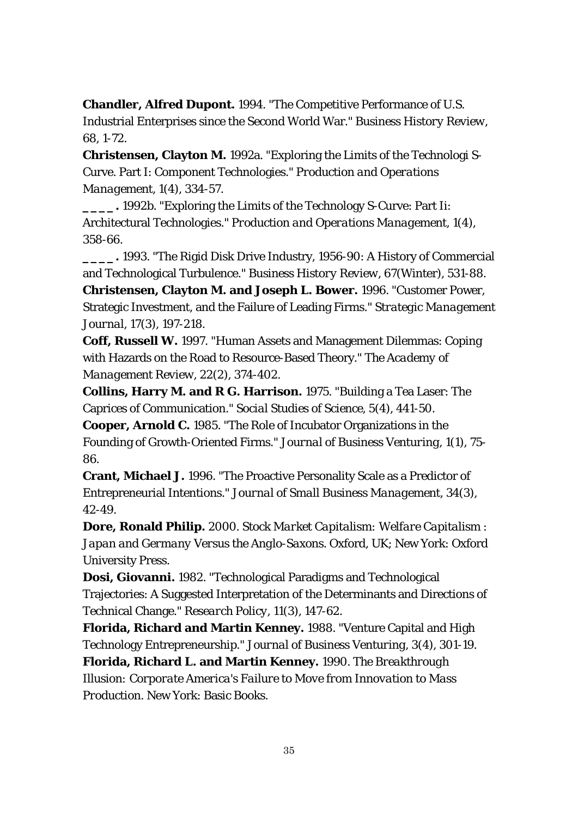**Chandler, Alfred Dupont.** 1994. "The Competitive Performance of U.S. Industrial Enterprises since the Second World War." *Business History Review*, 68, 1-72.

**Christensen, Clayton M.** 1992a. "Exploring the Limits of the Technologi S-Curve. Part I: Component Technologies." *Production and Operations Management*, 1(4), 334-57.

**\_\_\_\_.** 1992b. "Exploring the Limits of the Technology S-Curve: Part Ii: Architectural Technologies." *Production and Operations Management*, 1(4), 358-66.

**\_\_\_\_.** 1993. "The Rigid Disk Drive Industry, 1956-90: A History of Commercial and Technological Turbulence." *Business History Review*, 67(Winter), 531-88. **Christensen, Clayton M. and Joseph L. Bower.** 1996. "Customer Power, Strategic Investment, and the Failure of Leading Firms." *Strategic Management Journal*, 17(3), 197-218.

**Coff, Russell W.** 1997. "Human Assets and Management Dilemmas: Coping with Hazards on the Road to Resource-Based Theory." *The Academy of Management Review*, 22(2), 374-402.

**Collins, Harry M. and R G. Harrison.** 1975. "Building a Tea Laser: The Caprices of Communication." *Social Studies of Science*, 5(4), 441-50.

**Cooper, Arnold C.** 1985. "The Role of Incubator Organizations in the Founding of Growth-Oriented Firms." *Journal of Business Venturing*, 1(1), 75- 86.

**Crant, Michael J.** 1996. "The Proactive Personality Scale as a Predictor of Entrepreneurial Intentions." *Journal of Small Business Management*, 34(3), 42-49.

**Dore, Ronald Philip.** 2000. *Stock Market Capitalism: Welfare Capitalism : Japan and Germany Versus the Anglo-Saxons*. Oxford, UK; New York: Oxford University Press.

**Dosi, Giovanni.** 1982. "Technological Paradigms and Technological Trajectories: A Suggested Interpretation of the Determinants and Directions of Technical Change." *Research Policy*, 11(3), 147-62.

**Florida, Richard and Martin Kenney.** 1988. "Venture Capital and High Technology Entrepreneurship." *Journal of Business Venturing*, 3(4), 301-19.

**Florida, Richard L. and Martin Kenney.** 1990. *The Breakthrough Illusion: Corporate America's Failure to Move from Innovation to Mass Production*. New York: Basic Books.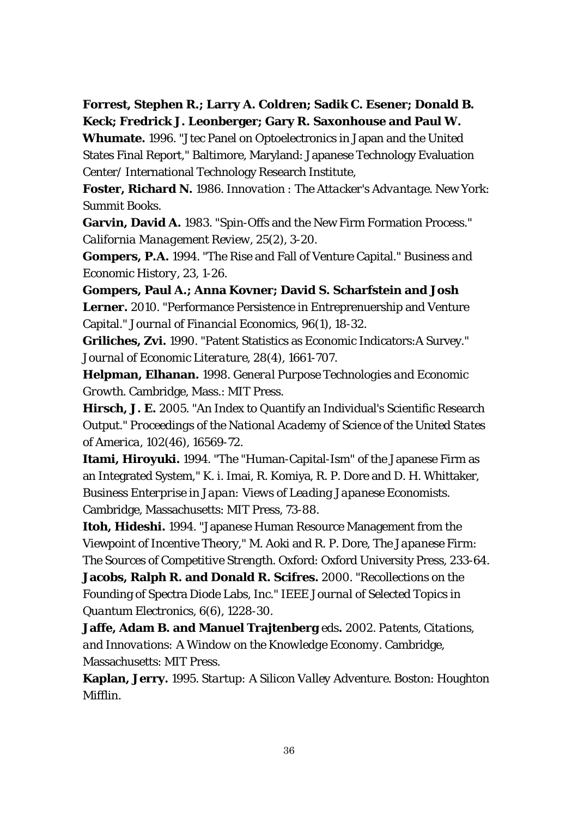**Forrest, Stephen R.; Larry A. Coldren; Sadik C. Esener; Donald B. Keck; Fredrick J. Leonberger; Gary R. Saxonhouse and Paul W.** 

**Whumate.** 1996. "Jtec Panel on Optoelectronics in Japan and the United States Final Report," Baltimore, Maryland: Japanese Technology Evaluation Center/ International Technology Research Institute,

**Foster, Richard N.** 1986. *Innovation : The Attacker's Advantage*. New York: Summit Books.

**Garvin, David A.** 1983. "Spin-Offs and the New Firm Formation Process." *California Management Review*, 25(2), 3-20.

**Gompers, P.A.** 1994. "The Rise and Fall of Venture Capital." *Business and Economic History*, 23, 1-26.

**Gompers, Paul A.; Anna Kovner; David S. Scharfstein and Josh Lerner.** 2010. "Performance Persistence in Entreprenuership and Venture Capital." *Journal of Financial Economics*, 96(1), 18-32.

**Griliches, Zvi.** 1990. "Patent Statistics as Economic Indicators:A Survey." *Journal of Economic Literature*, 28(4), 1661-707.

**Helpman, Elhanan.** 1998. *General Purpose Technologies and Economic Growth*. Cambridge, Mass.: MIT Press.

**Hirsch, J. E.** 2005. "An Index to Quantify an Individual's Scientific Research Output." *Proceedings of the National Academy of Science of the United States of America*, 102(46), 16569-72.

**Itami, Hiroyuki.** 1994. "The "Human-Capital-Ism" of the Japanese Firm as an Integrated System," K. i. Imai, R. Komiya, R. P. Dore and D. H. Whittaker, *Business Enterprise in Japan: Views of Leading Japanese Economists.*  Cambridge, Massachusetts: MIT Press, 73-88.

**Itoh, Hideshi.** 1994. "Japanese Human Resource Management from the Viewpoint of Incentive Theory," M. Aoki and R. P. Dore, *The Japanese Firm: The Sources of Competitive Strength.* Oxford: Oxford University Press, 233-64. **Jacobs, Ralph R. and Donald R. Scifres.** 2000. "Recollections on the Founding of Spectra Diode Labs, Inc." *IEEE Journal of Selected Topics in* 

*Quantum Electronics*, 6(6), 1228-30.

**Jaffe, Adam B. and Manuel Trajtenberg** eds**.** 2002. *Patents, Citations, and Innovations: A Window on the Knowledge Economy*. Cambridge, Massachusetts: MIT Press.

**Kaplan, Jerry.** 1995. *Startup: A Silicon Valley Adventure*. Boston: Houghton Mifflin.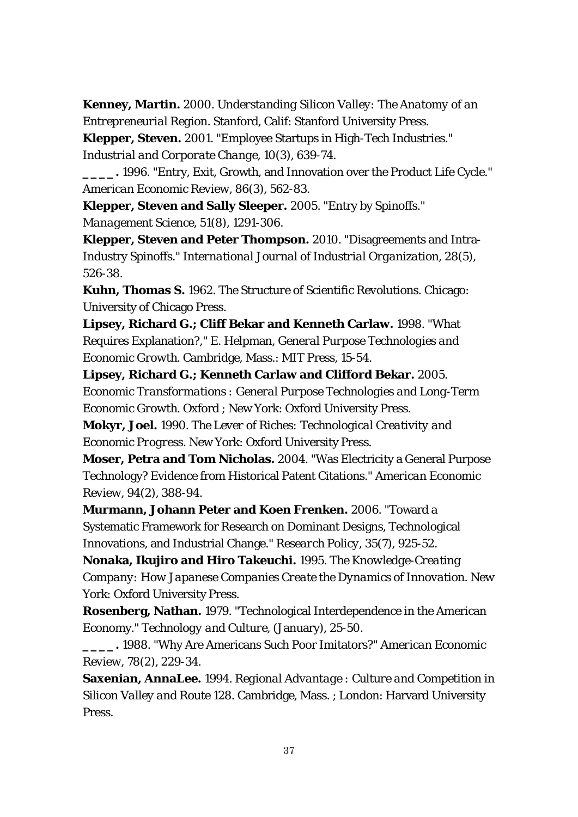**Kenney, Martin.** 2000. *Understanding Silicon Valley: The Anatomy of an Entrepreneurial Region*. Stanford, Calif: Stanford University Press.

**Klepper, Steven.** 2001. "Employee Startups in High-Tech Industries." *Industrial and Corporate Change*, 10(3), 639-74.

**\_\_\_\_.** 1996. "Entry, Exit, Growth, and Innovation over the Product Life Cycle." *American Economic Review*, 86(3), 562-83.

**Klepper, Steven and Sally Sleeper.** 2005. "Entry by Spinoffs." *Management Science*, 51(8), 1291-306.

**Klepper, Steven and Peter Thompson.** 2010. "Disagreements and Intra-Industry Spinoffs." *International Journal of Industrial Organization*, 28(5), 526-38.

**Kuhn, Thomas S.** 1962. *The Structure of Scientific Revolutions*. Chicago: University of Chicago Press.

**Lipsey, Richard G.; Cliff Bekar and Kenneth Carlaw.** 1998. "What Requires Explanation?," E. Helpman, *General Purpose Technologies and Economic Growth.* Cambridge, Mass.: MIT Press, 15-54.

**Lipsey, Richard G.; Kenneth Carlaw and Clifford Bekar.** 2005. *Economic Transformations : General Purpose Technologies and Long-Term Economic Growth*. Oxford ; New York: Oxford University Press.

**Mokyr, Joel.** 1990. *The Lever of Riches: Technological Creativity and Economic Progress*. New York: Oxford University Press.

**Moser, Petra and Tom Nicholas.** 2004. "Was Electricity a General Purpose Technology? Evidence from Historical Patent Citations." *American Economic Review*, 94(2), 388-94.

**Murmann, Johann Peter and Koen Frenken.** 2006. "Toward a Systematic Framework for Research on Dominant Designs, Technological Innovations, and Industrial Change." *Research Policy*, 35(7), 925-52.

**Nonaka, Ikujiro and Hiro Takeuchi.** 1995. *The Knowledge-Creating Company: How Japanese Companies Create the Dynamics of Innovation*. New York: Oxford University Press.

**Rosenberg, Nathan.** 1979. "Technological Interdependence in the American Economy." *Technology and Culture*, (January), 25-50.

**\_\_\_\_.** 1988. "Why Are Americans Such Poor Imitators?" *American Economic Review*, 78(2), 229-34.

**Saxenian, AnnaLee.** 1994. *Regional Advantage : Culture and Competition in Silicon Valley and Route 128*. Cambridge, Mass. ; London: Harvard University Press.